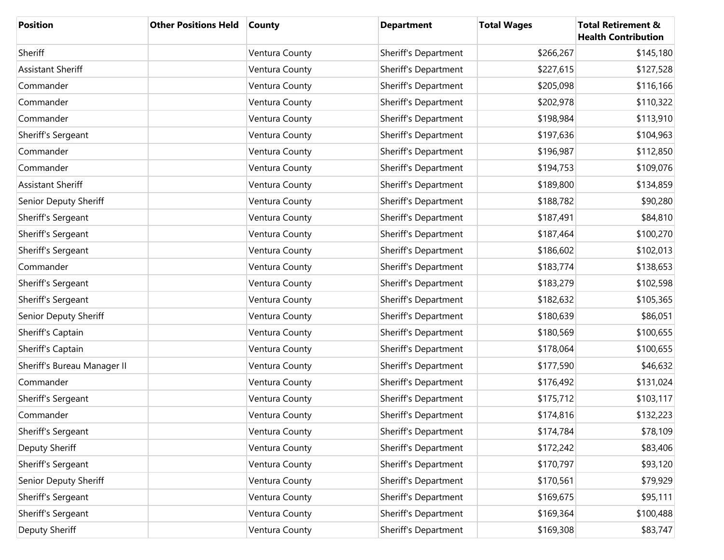| <b>Position</b>             | <b>Other Positions Held</b> | <b>County</b>  | <b>Department</b>    | <b>Total Wages</b> | <b>Total Retirement &amp;</b><br><b>Health Contribution</b> |
|-----------------------------|-----------------------------|----------------|----------------------|--------------------|-------------------------------------------------------------|
| Sheriff                     |                             | Ventura County | Sheriff's Department | \$266,267          | \$145,180                                                   |
| <b>Assistant Sheriff</b>    |                             | Ventura County | Sheriff's Department | \$227,615          | \$127,528                                                   |
| Commander                   |                             | Ventura County | Sheriff's Department | \$205,098          | \$116,166                                                   |
| Commander                   |                             | Ventura County | Sheriff's Department | \$202,978          | \$110,322                                                   |
| Commander                   |                             | Ventura County | Sheriff's Department | \$198,984          | \$113,910                                                   |
| Sheriff's Sergeant          |                             | Ventura County | Sheriff's Department | \$197,636          | \$104,963                                                   |
| Commander                   |                             | Ventura County | Sheriff's Department | \$196,987          | \$112,850                                                   |
| Commander                   |                             | Ventura County | Sheriff's Department | \$194,753          | \$109,076                                                   |
| <b>Assistant Sheriff</b>    |                             | Ventura County | Sheriff's Department | \$189,800          | \$134,859                                                   |
| Senior Deputy Sheriff       |                             | Ventura County | Sheriff's Department | \$188,782          | \$90,280                                                    |
| Sheriff's Sergeant          |                             | Ventura County | Sheriff's Department | \$187,491          | \$84,810                                                    |
| Sheriff's Sergeant          |                             | Ventura County | Sheriff's Department | \$187,464          | \$100,270                                                   |
| Sheriff's Sergeant          |                             | Ventura County | Sheriff's Department | \$186,602          | \$102,013                                                   |
| Commander                   |                             | Ventura County | Sheriff's Department | \$183,774          | \$138,653                                                   |
| Sheriff's Sergeant          |                             | Ventura County | Sheriff's Department | \$183,279          | \$102,598                                                   |
| Sheriff's Sergeant          |                             | Ventura County | Sheriff's Department | \$182,632          | \$105,365                                                   |
| Senior Deputy Sheriff       |                             | Ventura County | Sheriff's Department | \$180,639          | \$86,051                                                    |
| Sheriff's Captain           |                             | Ventura County | Sheriff's Department | \$180,569          | \$100,655                                                   |
| Sheriff's Captain           |                             | Ventura County | Sheriff's Department | \$178,064          | \$100,655                                                   |
| Sheriff's Bureau Manager II |                             | Ventura County | Sheriff's Department | \$177,590          | \$46,632                                                    |
| Commander                   |                             | Ventura County | Sheriff's Department | \$176,492          | \$131,024                                                   |
| Sheriff's Sergeant          |                             | Ventura County | Sheriff's Department | \$175,712          | \$103,117                                                   |
| Commander                   |                             | Ventura County | Sheriff's Department | \$174,816          | \$132,223                                                   |
| Sheriff's Sergeant          |                             | Ventura County | Sheriff's Department | \$174,784          | \$78,109                                                    |
| Deputy Sheriff              |                             | Ventura County | Sheriff's Department | \$172,242          | \$83,406                                                    |
| Sheriff's Sergeant          |                             | Ventura County | Sheriff's Department | \$170,797          | \$93,120                                                    |
| Senior Deputy Sheriff       |                             | Ventura County | Sheriff's Department | \$170,561          | \$79,929                                                    |
| Sheriff's Sergeant          |                             | Ventura County | Sheriff's Department | \$169,675          | \$95,111                                                    |
| Sheriff's Sergeant          |                             | Ventura County | Sheriff's Department | \$169,364          | \$100,488                                                   |
| Deputy Sheriff              |                             | Ventura County | Sheriff's Department | \$169,308          | \$83,747                                                    |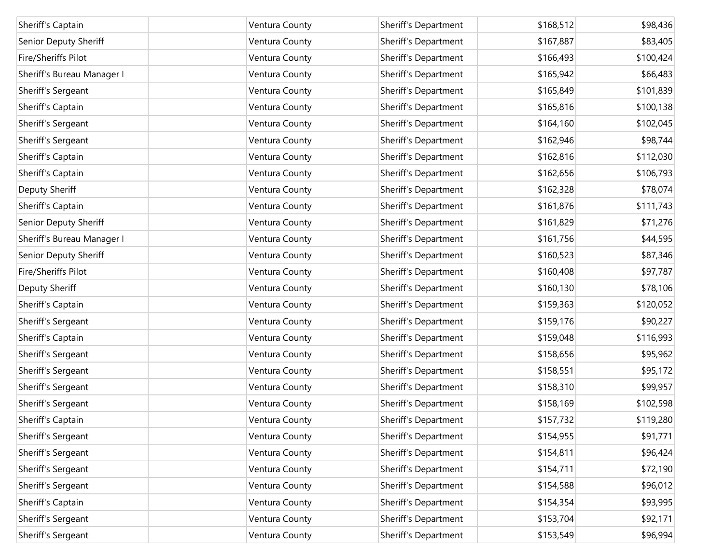| Sheriff's Captain          | Ventura County | Sheriff's Department | \$168,512 | \$98,436  |
|----------------------------|----------------|----------------------|-----------|-----------|
| Senior Deputy Sheriff      | Ventura County | Sheriff's Department | \$167,887 | \$83,405  |
| Fire/Sheriffs Pilot        | Ventura County | Sheriff's Department | \$166,493 | \$100,424 |
| Sheriff's Bureau Manager I | Ventura County | Sheriff's Department | \$165,942 | \$66,483  |
| Sheriff's Sergeant         | Ventura County | Sheriff's Department | \$165,849 | \$101,839 |
| Sheriff's Captain          | Ventura County | Sheriff's Department | \$165,816 | \$100,138 |
| Sheriff's Sergeant         | Ventura County | Sheriff's Department | \$164,160 | \$102,045 |
| Sheriff's Sergeant         | Ventura County | Sheriff's Department | \$162,946 | \$98,744  |
| Sheriff's Captain          | Ventura County | Sheriff's Department | \$162,816 | \$112,030 |
| Sheriff's Captain          | Ventura County | Sheriff's Department | \$162,656 | \$106,793 |
| Deputy Sheriff             | Ventura County | Sheriff's Department | \$162,328 | \$78,074  |
| Sheriff's Captain          | Ventura County | Sheriff's Department | \$161,876 | \$111,743 |
| Senior Deputy Sheriff      | Ventura County | Sheriff's Department | \$161,829 | \$71,276  |
| Sheriff's Bureau Manager I | Ventura County | Sheriff's Department | \$161,756 | \$44,595  |
| Senior Deputy Sheriff      | Ventura County | Sheriff's Department | \$160,523 | \$87,346  |
| Fire/Sheriffs Pilot        | Ventura County | Sheriff's Department | \$160,408 | \$97,787  |
| Deputy Sheriff             | Ventura County | Sheriff's Department | \$160,130 | \$78,106  |
| Sheriff's Captain          | Ventura County | Sheriff's Department | \$159,363 | \$120,052 |
| Sheriff's Sergeant         | Ventura County | Sheriff's Department | \$159,176 | \$90,227  |
| Sheriff's Captain          | Ventura County | Sheriff's Department | \$159,048 | \$116,993 |
| Sheriff's Sergeant         | Ventura County | Sheriff's Department | \$158,656 | \$95,962  |
| Sheriff's Sergeant         | Ventura County | Sheriff's Department | \$158,551 | \$95,172  |
| Sheriff's Sergeant         | Ventura County | Sheriff's Department | \$158,310 | \$99,957  |
| Sheriff's Sergeant         | Ventura County | Sheriff's Department | \$158,169 | \$102,598 |
| Sheriff's Captain          | Ventura County | Sheriff's Department | \$157,732 | \$119,280 |
| Sheriff's Sergeant         | Ventura County | Sheriff's Department | \$154,955 | \$91,771  |
| Sheriff's Sergeant         | Ventura County | Sheriff's Department | \$154,811 | \$96,424  |
| Sheriff's Sergeant         | Ventura County | Sheriff's Department | \$154,711 | \$72,190  |
| Sheriff's Sergeant         | Ventura County | Sheriff's Department | \$154,588 | \$96,012  |
| Sheriff's Captain          | Ventura County | Sheriff's Department | \$154,354 | \$93,995  |
| Sheriff's Sergeant         | Ventura County | Sheriff's Department | \$153,704 | \$92,171  |
| Sheriff's Sergeant         | Ventura County | Sheriff's Department | \$153,549 | \$96,994  |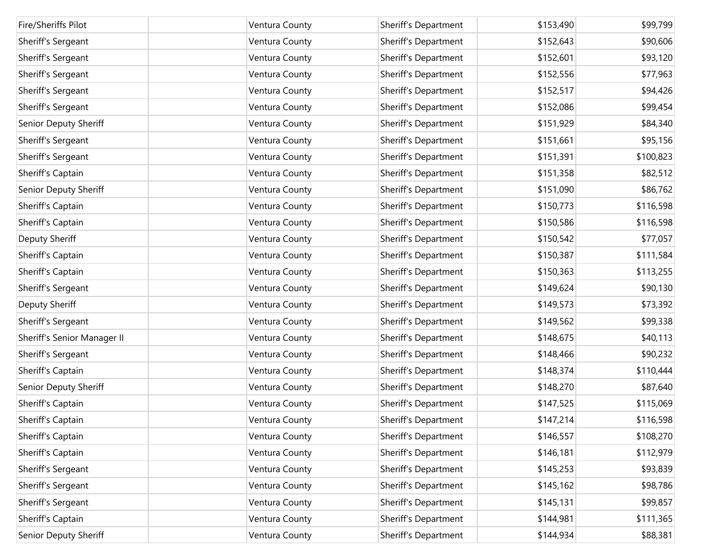| Fire/Sheriffs Pilot         | Ventura County | Sheriff's Department | \$153,490 | \$99,799  |
|-----------------------------|----------------|----------------------|-----------|-----------|
| Sheriff's Sergeant          | Ventura County | Sheriff's Department | \$152,643 | \$90,606  |
| Sheriff's Sergeant          | Ventura County | Sheriff's Department | \$152,601 | \$93,120  |
| Sheriff's Sergeant          | Ventura County | Sheriff's Department | \$152,556 | \$77,963  |
| Sheriff's Sergeant          | Ventura County | Sheriff's Department | \$152,517 | \$94,426  |
| Sheriff's Sergeant          | Ventura County | Sheriff's Department | \$152,086 | \$99,454  |
| Senior Deputy Sheriff       | Ventura County | Sheriff's Department | \$151,929 | \$84,340  |
| Sheriff's Sergeant          | Ventura County | Sheriff's Department | \$151,661 | \$95,156  |
| Sheriff's Sergeant          | Ventura County | Sheriff's Department | \$151,391 | \$100,823 |
| Sheriff's Captain           | Ventura County | Sheriff's Department | \$151,358 | \$82,512  |
| Senior Deputy Sheriff       | Ventura County | Sheriff's Department | \$151,090 | \$86,762  |
| Sheriff's Captain           | Ventura County | Sheriff's Department | \$150,773 | \$116,598 |
| Sheriff's Captain           | Ventura County | Sheriff's Department | \$150,586 | \$116,598 |
| Deputy Sheriff              | Ventura County | Sheriff's Department | \$150,542 | \$77,057  |
| Sheriff's Captain           | Ventura County | Sheriff's Department | \$150,387 | \$111,584 |
| Sheriff's Captain           | Ventura County | Sheriff's Department | \$150,363 | \$113,255 |
| Sheriff's Sergeant          | Ventura County | Sheriff's Department | \$149,624 | \$90,130  |
| Deputy Sheriff              | Ventura County | Sheriff's Department | \$149,573 | \$73,392  |
| Sheriff's Sergeant          | Ventura County | Sheriff's Department | \$149,562 | \$99,338  |
| Sheriff's Senior Manager II | Ventura County | Sheriff's Department | \$148,675 | \$40,113  |
| Sheriff's Sergeant          | Ventura County | Sheriff's Department | \$148,466 | \$90,232  |
| Sheriff's Captain           | Ventura County | Sheriff's Department | \$148,374 | \$110,444 |
| Senior Deputy Sheriff       | Ventura County | Sheriff's Department | \$148,270 | \$87,640  |
| Sheriff's Captain           | Ventura County | Sheriff's Department | \$147,525 | \$115,069 |
| Sheriff's Captain           | Ventura County | Sheriff's Department | \$147,214 | \$116,598 |
| Sheriff's Captain           | Ventura County | Sheriff's Department | \$146,557 | \$108,270 |
| Sheriff's Captain           | Ventura County | Sheriff's Department | \$146,181 | \$112,979 |
| Sheriff's Sergeant          | Ventura County | Sheriff's Department | \$145,253 | \$93,839  |
| Sheriff's Sergeant          | Ventura County | Sheriff's Department | \$145,162 | \$98,786  |
| Sheriff's Sergeant          | Ventura County | Sheriff's Department | \$145,131 | \$99,857  |
| Sheriff's Captain           | Ventura County | Sheriff's Department | \$144,981 | \$111,365 |
| Senior Deputy Sheriff       | Ventura County | Sheriff's Department | \$144,934 | \$88,381  |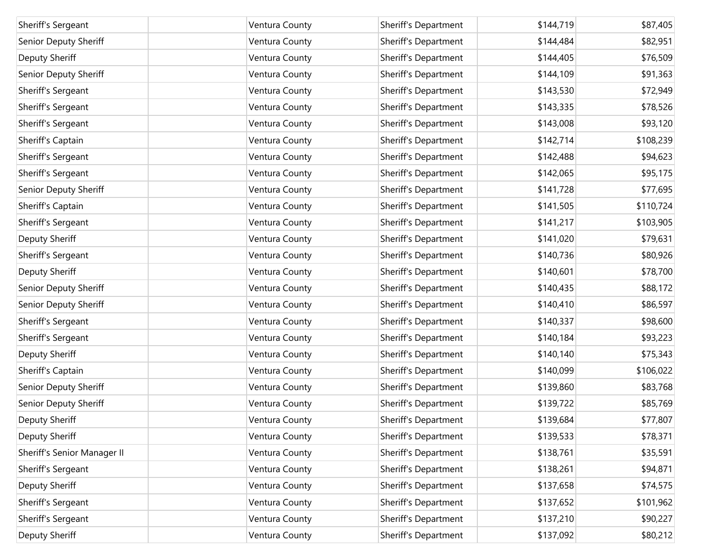| Sheriff's Sergeant          | Ventura County | Sheriff's Department | \$144,719 | \$87,405  |
|-----------------------------|----------------|----------------------|-----------|-----------|
| Senior Deputy Sheriff       | Ventura County | Sheriff's Department | \$144,484 | \$82,951  |
| Deputy Sheriff              | Ventura County | Sheriff's Department | \$144,405 | \$76,509  |
| Senior Deputy Sheriff       | Ventura County | Sheriff's Department | \$144,109 | \$91,363  |
| Sheriff's Sergeant          | Ventura County | Sheriff's Department | \$143,530 | \$72,949  |
| Sheriff's Sergeant          | Ventura County | Sheriff's Department | \$143,335 | \$78,526  |
| Sheriff's Sergeant          | Ventura County | Sheriff's Department | \$143,008 | \$93,120  |
| Sheriff's Captain           | Ventura County | Sheriff's Department | \$142,714 | \$108,239 |
| Sheriff's Sergeant          | Ventura County | Sheriff's Department | \$142,488 | \$94,623  |
| Sheriff's Sergeant          | Ventura County | Sheriff's Department | \$142,065 | \$95,175  |
| Senior Deputy Sheriff       | Ventura County | Sheriff's Department | \$141,728 | \$77,695  |
| Sheriff's Captain           | Ventura County | Sheriff's Department | \$141,505 | \$110,724 |
| Sheriff's Sergeant          | Ventura County | Sheriff's Department | \$141,217 | \$103,905 |
| Deputy Sheriff              | Ventura County | Sheriff's Department | \$141,020 | \$79,631  |
| Sheriff's Sergeant          | Ventura County | Sheriff's Department | \$140,736 | \$80,926  |
| Deputy Sheriff              | Ventura County | Sheriff's Department | \$140,601 | \$78,700  |
| Senior Deputy Sheriff       | Ventura County | Sheriff's Department | \$140,435 | \$88,172  |
| Senior Deputy Sheriff       | Ventura County | Sheriff's Department | \$140,410 | \$86,597  |
| Sheriff's Sergeant          | Ventura County | Sheriff's Department | \$140,337 | \$98,600  |
| Sheriff's Sergeant          | Ventura County | Sheriff's Department | \$140,184 | \$93,223  |
| Deputy Sheriff              | Ventura County | Sheriff's Department | \$140,140 | \$75,343  |
| Sheriff's Captain           | Ventura County | Sheriff's Department | \$140,099 | \$106,022 |
| Senior Deputy Sheriff       | Ventura County | Sheriff's Department | \$139,860 | \$83,768  |
| Senior Deputy Sheriff       | Ventura County | Sheriff's Department | \$139,722 | \$85,769  |
| Deputy Sheriff              | Ventura County | Sheriff's Department | \$139,684 | \$77,807  |
| Deputy Sheriff              | Ventura County | Sheriff's Department | \$139,533 | \$78,371  |
| Sheriff's Senior Manager II | Ventura County | Sheriff's Department | \$138,761 | \$35,591  |
| Sheriff's Sergeant          | Ventura County | Sheriff's Department | \$138,261 | \$94,871  |
| Deputy Sheriff              | Ventura County | Sheriff's Department | \$137,658 | \$74,575  |
| Sheriff's Sergeant          | Ventura County | Sheriff's Department | \$137,652 | \$101,962 |
| Sheriff's Sergeant          | Ventura County | Sheriff's Department | \$137,210 | \$90,227  |
| Deputy Sheriff              | Ventura County | Sheriff's Department | \$137,092 | \$80,212  |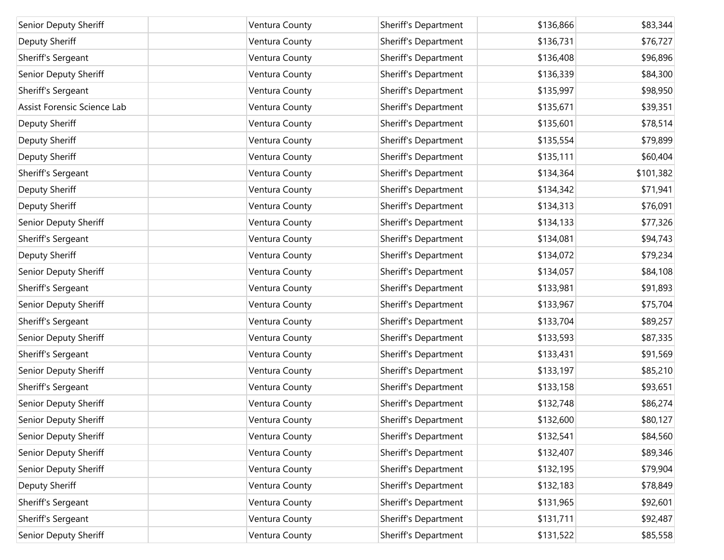| Senior Deputy Sheriff       | Ventura County | Sheriff's Department | \$136,866 | \$83,344  |
|-----------------------------|----------------|----------------------|-----------|-----------|
| Deputy Sheriff              | Ventura County | Sheriff's Department | \$136,731 | \$76,727  |
| Sheriff's Sergeant          | Ventura County | Sheriff's Department | \$136,408 | \$96,896  |
| Senior Deputy Sheriff       | Ventura County | Sheriff's Department | \$136,339 | \$84,300  |
| Sheriff's Sergeant          | Ventura County | Sheriff's Department | \$135,997 | \$98,950  |
| Assist Forensic Science Lab | Ventura County | Sheriff's Department | \$135,671 | \$39,351  |
| Deputy Sheriff              | Ventura County | Sheriff's Department | \$135,601 | \$78,514  |
| Deputy Sheriff              | Ventura County | Sheriff's Department | \$135,554 | \$79,899  |
| Deputy Sheriff              | Ventura County | Sheriff's Department | \$135,111 | \$60,404  |
| Sheriff's Sergeant          | Ventura County | Sheriff's Department | \$134,364 | \$101,382 |
| Deputy Sheriff              | Ventura County | Sheriff's Department | \$134,342 | \$71,941  |
| Deputy Sheriff              | Ventura County | Sheriff's Department | \$134,313 | \$76,091  |
| Senior Deputy Sheriff       | Ventura County | Sheriff's Department | \$134,133 | \$77,326  |
| Sheriff's Sergeant          | Ventura County | Sheriff's Department | \$134,081 | \$94,743  |
| Deputy Sheriff              | Ventura County | Sheriff's Department | \$134,072 | \$79,234  |
| Senior Deputy Sheriff       | Ventura County | Sheriff's Department | \$134,057 | \$84,108  |
| Sheriff's Sergeant          | Ventura County | Sheriff's Department | \$133,981 | \$91,893  |
| Senior Deputy Sheriff       | Ventura County | Sheriff's Department | \$133,967 | \$75,704  |
| Sheriff's Sergeant          | Ventura County | Sheriff's Department | \$133,704 | \$89,257  |
| Senior Deputy Sheriff       | Ventura County | Sheriff's Department | \$133,593 | \$87,335  |
| Sheriff's Sergeant          | Ventura County | Sheriff's Department | \$133,431 | \$91,569  |
| Senior Deputy Sheriff       | Ventura County | Sheriff's Department | \$133,197 | \$85,210  |
| Sheriff's Sergeant          | Ventura County | Sheriff's Department | \$133,158 | \$93,651  |
| Senior Deputy Sheriff       | Ventura County | Sheriff's Department | \$132,748 | \$86,274  |
| Senior Deputy Sheriff       | Ventura County | Sheriff's Department | \$132,600 | \$80,127  |
| Senior Deputy Sheriff       | Ventura County | Sheriff's Department | \$132,541 | \$84,560  |
| Senior Deputy Sheriff       | Ventura County | Sheriff's Department | \$132,407 | \$89,346  |
| Senior Deputy Sheriff       | Ventura County | Sheriff's Department | \$132,195 | \$79,904  |
| Deputy Sheriff              | Ventura County | Sheriff's Department | \$132,183 | \$78,849  |
| Sheriff's Sergeant          | Ventura County | Sheriff's Department | \$131,965 | \$92,601  |
| Sheriff's Sergeant          | Ventura County | Sheriff's Department | \$131,711 | \$92,487  |
| Senior Deputy Sheriff       | Ventura County | Sheriff's Department | \$131,522 | \$85,558  |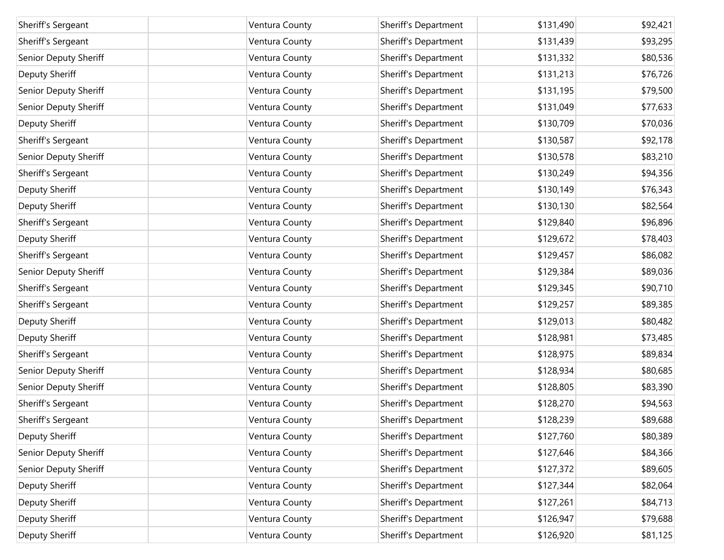| Sheriff's Sergeant    | Ventura County | Sheriff's Department | \$131,490 | \$92,421 |
|-----------------------|----------------|----------------------|-----------|----------|
| Sheriff's Sergeant    | Ventura County | Sheriff's Department | \$131,439 | \$93,295 |
| Senior Deputy Sheriff | Ventura County | Sheriff's Department | \$131,332 | \$80,536 |
| Deputy Sheriff        | Ventura County | Sheriff's Department | \$131,213 | \$76,726 |
| Senior Deputy Sheriff | Ventura County | Sheriff's Department | \$131,195 | \$79,500 |
| Senior Deputy Sheriff | Ventura County | Sheriff's Department | \$131,049 | \$77,633 |
| Deputy Sheriff        | Ventura County | Sheriff's Department | \$130,709 | \$70,036 |
| Sheriff's Sergeant    | Ventura County | Sheriff's Department | \$130,587 | \$92,178 |
| Senior Deputy Sheriff | Ventura County | Sheriff's Department | \$130,578 | \$83,210 |
| Sheriff's Sergeant    | Ventura County | Sheriff's Department | \$130,249 | \$94,356 |
| Deputy Sheriff        | Ventura County | Sheriff's Department | \$130,149 | \$76,343 |
| Deputy Sheriff        | Ventura County | Sheriff's Department | \$130,130 | \$82,564 |
| Sheriff's Sergeant    | Ventura County | Sheriff's Department | \$129,840 | \$96,896 |
| Deputy Sheriff        | Ventura County | Sheriff's Department | \$129,672 | \$78,403 |
| Sheriff's Sergeant    | Ventura County | Sheriff's Department | \$129,457 | \$86,082 |
| Senior Deputy Sheriff | Ventura County | Sheriff's Department | \$129,384 | \$89,036 |
| Sheriff's Sergeant    | Ventura County | Sheriff's Department | \$129,345 | \$90,710 |
| Sheriff's Sergeant    | Ventura County | Sheriff's Department | \$129,257 | \$89,385 |
| Deputy Sheriff        | Ventura County | Sheriff's Department | \$129,013 | \$80,482 |
| Deputy Sheriff        | Ventura County | Sheriff's Department | \$128,981 | \$73,485 |
| Sheriff's Sergeant    | Ventura County | Sheriff's Department | \$128,975 | \$89,834 |
| Senior Deputy Sheriff | Ventura County | Sheriff's Department | \$128,934 | \$80,685 |
| Senior Deputy Sheriff | Ventura County | Sheriff's Department | \$128,805 | \$83,390 |
| Sheriff's Sergeant    | Ventura County | Sheriff's Department | \$128,270 | \$94,563 |
| Sheriff's Sergeant    | Ventura County | Sheriff's Department | \$128,239 | \$89,688 |
| Deputy Sheriff        | Ventura County | Sheriff's Department | \$127,760 | \$80,389 |
| Senior Deputy Sheriff | Ventura County | Sheriff's Department | \$127,646 | \$84,366 |
| Senior Deputy Sheriff | Ventura County | Sheriff's Department | \$127,372 | \$89,605 |
| Deputy Sheriff        | Ventura County | Sheriff's Department | \$127,344 | \$82,064 |
| Deputy Sheriff        | Ventura County | Sheriff's Department | \$127,261 | \$84,713 |
| Deputy Sheriff        | Ventura County | Sheriff's Department | \$126,947 | \$79,688 |
| Deputy Sheriff        | Ventura County | Sheriff's Department | \$126,920 | \$81,125 |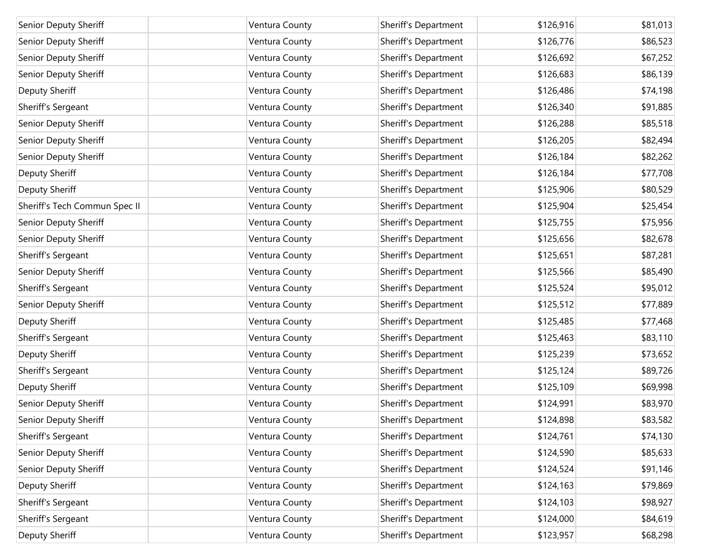| Senior Deputy Sheriff         | Ventura County | Sheriff's Department | \$126,916 | \$81,013 |
|-------------------------------|----------------|----------------------|-----------|----------|
| Senior Deputy Sheriff         | Ventura County | Sheriff's Department | \$126,776 | \$86,523 |
| Senior Deputy Sheriff         | Ventura County | Sheriff's Department | \$126,692 | \$67,252 |
| Senior Deputy Sheriff         | Ventura County | Sheriff's Department | \$126,683 | \$86,139 |
| Deputy Sheriff                | Ventura County | Sheriff's Department | \$126,486 | \$74,198 |
| Sheriff's Sergeant            | Ventura County | Sheriff's Department | \$126,340 | \$91,885 |
| Senior Deputy Sheriff         | Ventura County | Sheriff's Department | \$126,288 | \$85,518 |
| Senior Deputy Sheriff         | Ventura County | Sheriff's Department | \$126,205 | \$82,494 |
| Senior Deputy Sheriff         | Ventura County | Sheriff's Department | \$126,184 | \$82,262 |
| Deputy Sheriff                | Ventura County | Sheriff's Department | \$126,184 | \$77,708 |
| Deputy Sheriff                | Ventura County | Sheriff's Department | \$125,906 | \$80,529 |
| Sheriff's Tech Commun Spec II | Ventura County | Sheriff's Department | \$125,904 | \$25,454 |
| Senior Deputy Sheriff         | Ventura County | Sheriff's Department | \$125,755 | \$75,956 |
| Senior Deputy Sheriff         | Ventura County | Sheriff's Department | \$125,656 | \$82,678 |
| Sheriff's Sergeant            | Ventura County | Sheriff's Department | \$125,651 | \$87,281 |
| Senior Deputy Sheriff         | Ventura County | Sheriff's Department | \$125,566 | \$85,490 |
| Sheriff's Sergeant            | Ventura County | Sheriff's Department | \$125,524 | \$95,012 |
| Senior Deputy Sheriff         | Ventura County | Sheriff's Department | \$125,512 | \$77,889 |
| Deputy Sheriff                | Ventura County | Sheriff's Department | \$125,485 | \$77,468 |
| Sheriff's Sergeant            | Ventura County | Sheriff's Department | \$125,463 | \$83,110 |
| Deputy Sheriff                | Ventura County | Sheriff's Department | \$125,239 | \$73,652 |
| Sheriff's Sergeant            | Ventura County | Sheriff's Department | \$125,124 | \$89,726 |
| Deputy Sheriff                | Ventura County | Sheriff's Department | \$125,109 | \$69,998 |
| Senior Deputy Sheriff         | Ventura County | Sheriff's Department | \$124,991 | \$83,970 |
| Senior Deputy Sheriff         | Ventura County | Sheriff's Department | \$124,898 | \$83,582 |
| Sheriff's Sergeant            | Ventura County | Sheriff's Department | \$124,761 | \$74,130 |
| Senior Deputy Sheriff         | Ventura County | Sheriff's Department | \$124,590 | \$85,633 |
| Senior Deputy Sheriff         | Ventura County | Sheriff's Department | \$124,524 | \$91,146 |
| Deputy Sheriff                | Ventura County | Sheriff's Department | \$124,163 | \$79,869 |
| Sheriff's Sergeant            | Ventura County | Sheriff's Department | \$124,103 | \$98,927 |
| Sheriff's Sergeant            | Ventura County | Sheriff's Department | \$124,000 | \$84,619 |
| Deputy Sheriff                | Ventura County | Sheriff's Department | \$123,957 | \$68,298 |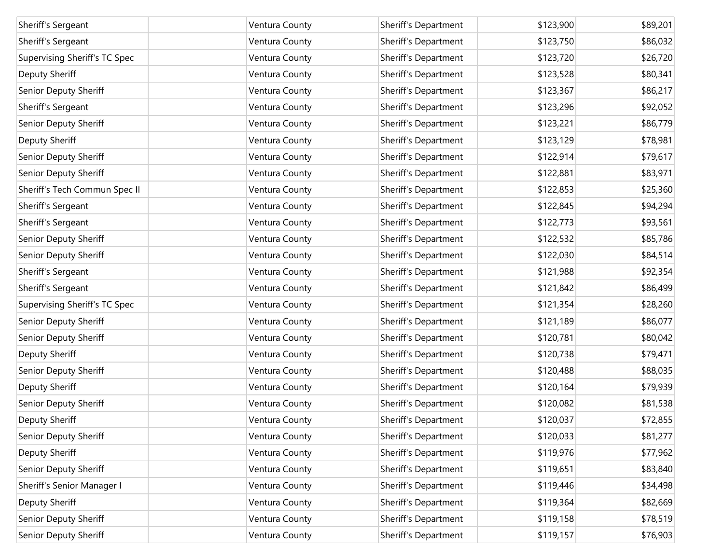| Sheriff's Sergeant            | Ventura County | Sheriff's Department | \$123,900 | \$89,201 |
|-------------------------------|----------------|----------------------|-----------|----------|
| Sheriff's Sergeant            | Ventura County | Sheriff's Department | \$123,750 | \$86,032 |
| Supervising Sheriff's TC Spec | Ventura County | Sheriff's Department | \$123,720 | \$26,720 |
| Deputy Sheriff                | Ventura County | Sheriff's Department | \$123,528 | \$80,341 |
| Senior Deputy Sheriff         | Ventura County | Sheriff's Department | \$123,367 | \$86,217 |
| Sheriff's Sergeant            | Ventura County | Sheriff's Department | \$123,296 | \$92,052 |
| Senior Deputy Sheriff         | Ventura County | Sheriff's Department | \$123,221 | \$86,779 |
| Deputy Sheriff                | Ventura County | Sheriff's Department | \$123,129 | \$78,981 |
| Senior Deputy Sheriff         | Ventura County | Sheriff's Department | \$122,914 | \$79,617 |
| Senior Deputy Sheriff         | Ventura County | Sheriff's Department | \$122,881 | \$83,971 |
| Sheriff's Tech Commun Spec II | Ventura County | Sheriff's Department | \$122,853 | \$25,360 |
| Sheriff's Sergeant            | Ventura County | Sheriff's Department | \$122,845 | \$94,294 |
| Sheriff's Sergeant            | Ventura County | Sheriff's Department | \$122,773 | \$93,561 |
| Senior Deputy Sheriff         | Ventura County | Sheriff's Department | \$122,532 | \$85,786 |
| Senior Deputy Sheriff         | Ventura County | Sheriff's Department | \$122,030 | \$84,514 |
| Sheriff's Sergeant            | Ventura County | Sheriff's Department | \$121,988 | \$92,354 |
| Sheriff's Sergeant            | Ventura County | Sheriff's Department | \$121,842 | \$86,499 |
| Supervising Sheriff's TC Spec | Ventura County | Sheriff's Department | \$121,354 | \$28,260 |
| Senior Deputy Sheriff         | Ventura County | Sheriff's Department | \$121,189 | \$86,077 |
| Senior Deputy Sheriff         | Ventura County | Sheriff's Department | \$120,781 | \$80,042 |
| Deputy Sheriff                | Ventura County | Sheriff's Department | \$120,738 | \$79,471 |
| Senior Deputy Sheriff         | Ventura County | Sheriff's Department | \$120,488 | \$88,035 |
| Deputy Sheriff                | Ventura County | Sheriff's Department | \$120,164 | \$79,939 |
| Senior Deputy Sheriff         | Ventura County | Sheriff's Department | \$120,082 | \$81,538 |
| Deputy Sheriff                | Ventura County | Sheriff's Department | \$120,037 | \$72,855 |
| Senior Deputy Sheriff         | Ventura County | Sheriff's Department | \$120,033 | \$81,277 |
| Deputy Sheriff                | Ventura County | Sheriff's Department | \$119,976 | \$77,962 |
| Senior Deputy Sheriff         | Ventura County | Sheriff's Department | \$119,651 | \$83,840 |
| Sheriff's Senior Manager I    | Ventura County | Sheriff's Department | \$119,446 | \$34,498 |
| Deputy Sheriff                | Ventura County | Sheriff's Department | \$119,364 | \$82,669 |
| Senior Deputy Sheriff         | Ventura County | Sheriff's Department | \$119,158 | \$78,519 |
| Senior Deputy Sheriff         | Ventura County | Sheriff's Department | \$119,157 | \$76,903 |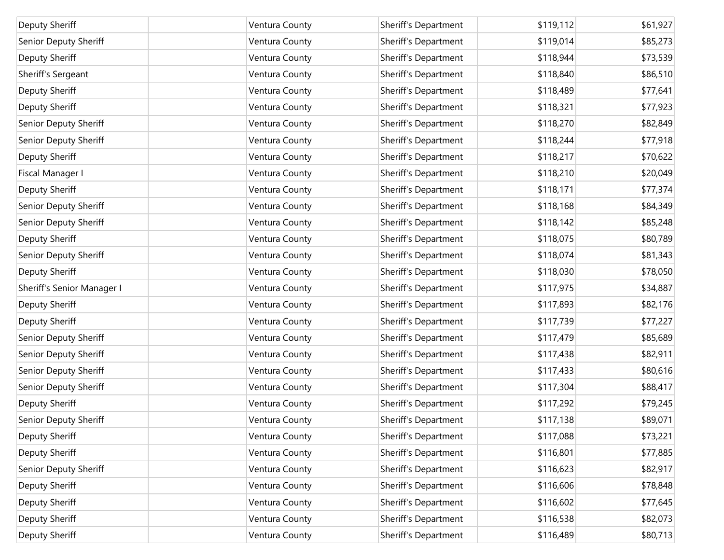| Deputy Sheriff             | Ventura County | Sheriff's Department | \$119,112 | \$61,927 |
|----------------------------|----------------|----------------------|-----------|----------|
| Senior Deputy Sheriff      | Ventura County | Sheriff's Department | \$119,014 | \$85,273 |
| Deputy Sheriff             | Ventura County | Sheriff's Department | \$118,944 | \$73,539 |
| Sheriff's Sergeant         | Ventura County | Sheriff's Department | \$118,840 | \$86,510 |
| Deputy Sheriff             | Ventura County | Sheriff's Department | \$118,489 | \$77,641 |
| Deputy Sheriff             | Ventura County | Sheriff's Department | \$118,321 | \$77,923 |
| Senior Deputy Sheriff      | Ventura County | Sheriff's Department | \$118,270 | \$82,849 |
| Senior Deputy Sheriff      | Ventura County | Sheriff's Department | \$118,244 | \$77,918 |
| Deputy Sheriff             | Ventura County | Sheriff's Department | \$118,217 | \$70,622 |
| Fiscal Manager I           | Ventura County | Sheriff's Department | \$118,210 | \$20,049 |
| Deputy Sheriff             | Ventura County | Sheriff's Department | \$118,171 | \$77,374 |
| Senior Deputy Sheriff      | Ventura County | Sheriff's Department | \$118,168 | \$84,349 |
| Senior Deputy Sheriff      | Ventura County | Sheriff's Department | \$118,142 | \$85,248 |
| Deputy Sheriff             | Ventura County | Sheriff's Department | \$118,075 | \$80,789 |
| Senior Deputy Sheriff      | Ventura County | Sheriff's Department | \$118,074 | \$81,343 |
| Deputy Sheriff             | Ventura County | Sheriff's Department | \$118,030 | \$78,050 |
| Sheriff's Senior Manager I | Ventura County | Sheriff's Department | \$117,975 | \$34,887 |
| Deputy Sheriff             | Ventura County | Sheriff's Department | \$117,893 | \$82,176 |
| Deputy Sheriff             | Ventura County | Sheriff's Department | \$117,739 | \$77,227 |
| Senior Deputy Sheriff      | Ventura County | Sheriff's Department | \$117,479 | \$85,689 |
| Senior Deputy Sheriff      | Ventura County | Sheriff's Department | \$117,438 | \$82,911 |
| Senior Deputy Sheriff      | Ventura County | Sheriff's Department | \$117,433 | \$80,616 |
| Senior Deputy Sheriff      | Ventura County | Sheriff's Department | \$117,304 | \$88,417 |
| Deputy Sheriff             | Ventura County | Sheriff's Department | \$117,292 | \$79,245 |
| Senior Deputy Sheriff      | Ventura County | Sheriff's Department | \$117,138 | \$89,071 |
| Deputy Sheriff             | Ventura County | Sheriff's Department | \$117,088 | \$73,221 |
| Deputy Sheriff             | Ventura County | Sheriff's Department | \$116,801 | \$77,885 |
| Senior Deputy Sheriff      | Ventura County | Sheriff's Department | \$116,623 | \$82,917 |
| Deputy Sheriff             | Ventura County | Sheriff's Department | \$116,606 | \$78,848 |
| Deputy Sheriff             | Ventura County | Sheriff's Department | \$116,602 | \$77,645 |
| Deputy Sheriff             | Ventura County | Sheriff's Department | \$116,538 | \$82,073 |
| Deputy Sheriff             | Ventura County | Sheriff's Department | \$116,489 | \$80,713 |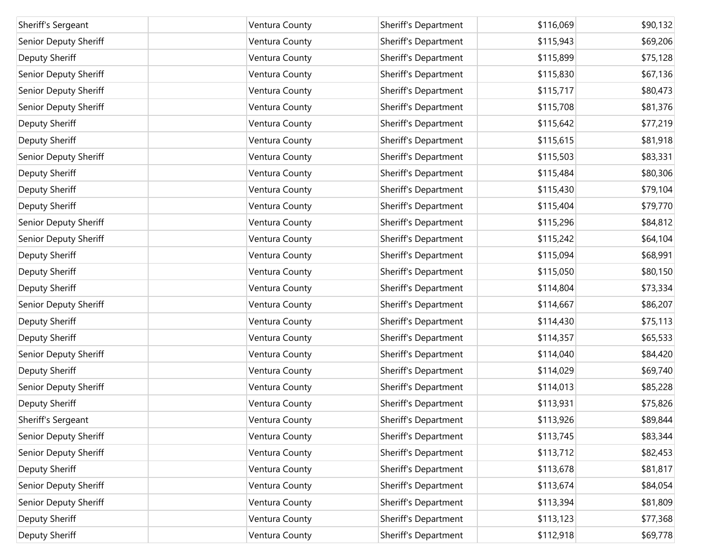| Sheriff's Sergeant    | Ventura County | Sheriff's Department | \$116,069 | \$90,132 |
|-----------------------|----------------|----------------------|-----------|----------|
| Senior Deputy Sheriff | Ventura County | Sheriff's Department | \$115,943 | \$69,206 |
| Deputy Sheriff        | Ventura County | Sheriff's Department | \$115,899 | \$75,128 |
| Senior Deputy Sheriff | Ventura County | Sheriff's Department | \$115,830 | \$67,136 |
| Senior Deputy Sheriff | Ventura County | Sheriff's Department | \$115,717 | \$80,473 |
| Senior Deputy Sheriff | Ventura County | Sheriff's Department | \$115,708 | \$81,376 |
| Deputy Sheriff        | Ventura County | Sheriff's Department | \$115,642 | \$77,219 |
| Deputy Sheriff        | Ventura County | Sheriff's Department | \$115,615 | \$81,918 |
| Senior Deputy Sheriff | Ventura County | Sheriff's Department | \$115,503 | \$83,331 |
| Deputy Sheriff        | Ventura County | Sheriff's Department | \$115,484 | \$80,306 |
| Deputy Sheriff        | Ventura County | Sheriff's Department | \$115,430 | \$79,104 |
| Deputy Sheriff        | Ventura County | Sheriff's Department | \$115,404 | \$79,770 |
| Senior Deputy Sheriff | Ventura County | Sheriff's Department | \$115,296 | \$84,812 |
| Senior Deputy Sheriff | Ventura County | Sheriff's Department | \$115,242 | \$64,104 |
| Deputy Sheriff        | Ventura County | Sheriff's Department | \$115,094 | \$68,991 |
| Deputy Sheriff        | Ventura County | Sheriff's Department | \$115,050 | \$80,150 |
| Deputy Sheriff        | Ventura County | Sheriff's Department | \$114,804 | \$73,334 |
| Senior Deputy Sheriff | Ventura County | Sheriff's Department | \$114,667 | \$86,207 |
| Deputy Sheriff        | Ventura County | Sheriff's Department | \$114,430 | \$75,113 |
| Deputy Sheriff        | Ventura County | Sheriff's Department | \$114,357 | \$65,533 |
| Senior Deputy Sheriff | Ventura County | Sheriff's Department | \$114,040 | \$84,420 |
| Deputy Sheriff        | Ventura County | Sheriff's Department | \$114,029 | \$69,740 |
| Senior Deputy Sheriff | Ventura County | Sheriff's Department | \$114,013 | \$85,228 |
| Deputy Sheriff        | Ventura County | Sheriff's Department | \$113,931 | \$75,826 |
| Sheriff's Sergeant    | Ventura County | Sheriff's Department | \$113,926 | \$89,844 |
| Senior Deputy Sheriff | Ventura County | Sheriff's Department | \$113,745 | \$83,344 |
| Senior Deputy Sheriff | Ventura County | Sheriff's Department | \$113,712 | \$82,453 |
| Deputy Sheriff        | Ventura County | Sheriff's Department | \$113,678 | \$81,817 |
| Senior Deputy Sheriff | Ventura County | Sheriff's Department | \$113,674 | \$84,054 |
| Senior Deputy Sheriff | Ventura County | Sheriff's Department | \$113,394 | \$81,809 |
| Deputy Sheriff        | Ventura County | Sheriff's Department | \$113,123 | \$77,368 |
| Deputy Sheriff        | Ventura County | Sheriff's Department | \$112,918 | \$69,778 |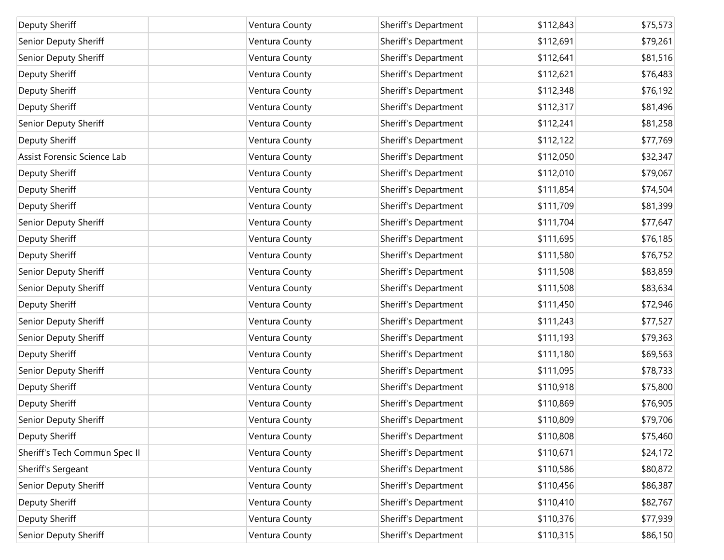| Deputy Sheriff                | Ventura County | Sheriff's Department | \$112,843 | \$75,573 |
|-------------------------------|----------------|----------------------|-----------|----------|
| Senior Deputy Sheriff         | Ventura County | Sheriff's Department | \$112,691 | \$79,261 |
| Senior Deputy Sheriff         | Ventura County | Sheriff's Department | \$112,641 | \$81,516 |
| Deputy Sheriff                | Ventura County | Sheriff's Department | \$112,621 | \$76,483 |
| Deputy Sheriff                | Ventura County | Sheriff's Department | \$112,348 | \$76,192 |
| Deputy Sheriff                | Ventura County | Sheriff's Department | \$112,317 | \$81,496 |
| Senior Deputy Sheriff         | Ventura County | Sheriff's Department | \$112,241 | \$81,258 |
| Deputy Sheriff                | Ventura County | Sheriff's Department | \$112,122 | \$77,769 |
| Assist Forensic Science Lab   | Ventura County | Sheriff's Department | \$112,050 | \$32,347 |
| Deputy Sheriff                | Ventura County | Sheriff's Department | \$112,010 | \$79,067 |
| Deputy Sheriff                | Ventura County | Sheriff's Department | \$111,854 | \$74,504 |
| Deputy Sheriff                | Ventura County | Sheriff's Department | \$111,709 | \$81,399 |
| Senior Deputy Sheriff         | Ventura County | Sheriff's Department | \$111,704 | \$77,647 |
| Deputy Sheriff                | Ventura County | Sheriff's Department | \$111,695 | \$76,185 |
| Deputy Sheriff                | Ventura County | Sheriff's Department | \$111,580 | \$76,752 |
| Senior Deputy Sheriff         | Ventura County | Sheriff's Department | \$111,508 | \$83,859 |
| Senior Deputy Sheriff         | Ventura County | Sheriff's Department | \$111,508 | \$83,634 |
| Deputy Sheriff                | Ventura County | Sheriff's Department | \$111,450 | \$72,946 |
| Senior Deputy Sheriff         | Ventura County | Sheriff's Department | \$111,243 | \$77,527 |
| Senior Deputy Sheriff         | Ventura County | Sheriff's Department | \$111,193 | \$79,363 |
| Deputy Sheriff                | Ventura County | Sheriff's Department | \$111,180 | \$69,563 |
| Senior Deputy Sheriff         | Ventura County | Sheriff's Department | \$111,095 | \$78,733 |
| Deputy Sheriff                | Ventura County | Sheriff's Department | \$110,918 | \$75,800 |
| Deputy Sheriff                | Ventura County | Sheriff's Department | \$110,869 | \$76,905 |
| Senior Deputy Sheriff         | Ventura County | Sheriff's Department | \$110,809 | \$79,706 |
| Deputy Sheriff                | Ventura County | Sheriff's Department | \$110,808 | \$75,460 |
| Sheriff's Tech Commun Spec II | Ventura County | Sheriff's Department | \$110,671 | \$24,172 |
| Sheriff's Sergeant            | Ventura County | Sheriff's Department | \$110,586 | \$80,872 |
| Senior Deputy Sheriff         | Ventura County | Sheriff's Department | \$110,456 | \$86,387 |
| Deputy Sheriff                | Ventura County | Sheriff's Department | \$110,410 | \$82,767 |
| Deputy Sheriff                | Ventura County | Sheriff's Department | \$110,376 | \$77,939 |
| Senior Deputy Sheriff         | Ventura County | Sheriff's Department | \$110,315 | \$86,150 |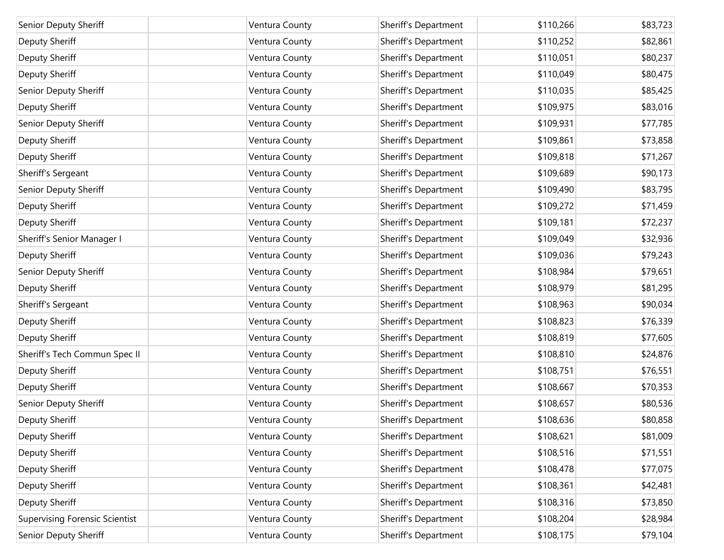| Senior Deputy Sheriff                 | Ventura County | Sheriff's Department | \$110,266 | \$83,723 |
|---------------------------------------|----------------|----------------------|-----------|----------|
| Deputy Sheriff                        | Ventura County | Sheriff's Department | \$110,252 | \$82,861 |
| Deputy Sheriff                        | Ventura County | Sheriff's Department | \$110,051 | \$80,237 |
| Deputy Sheriff                        | Ventura County | Sheriff's Department | \$110,049 | \$80,475 |
| Senior Deputy Sheriff                 | Ventura County | Sheriff's Department | \$110,035 | \$85,425 |
| Deputy Sheriff                        | Ventura County | Sheriff's Department | \$109,975 | \$83,016 |
| Senior Deputy Sheriff                 | Ventura County | Sheriff's Department | \$109,931 | \$77,785 |
| Deputy Sheriff                        | Ventura County | Sheriff's Department | \$109,861 | \$73,858 |
| Deputy Sheriff                        | Ventura County | Sheriff's Department | \$109,818 | \$71,267 |
| Sheriff's Sergeant                    | Ventura County | Sheriff's Department | \$109,689 | \$90,173 |
| Senior Deputy Sheriff                 | Ventura County | Sheriff's Department | \$109,490 | \$83,795 |
| Deputy Sheriff                        | Ventura County | Sheriff's Department | \$109,272 | \$71,459 |
| Deputy Sheriff                        | Ventura County | Sheriff's Department | \$109,181 | \$72,237 |
| Sheriff's Senior Manager I            | Ventura County | Sheriff's Department | \$109,049 | \$32,936 |
| Deputy Sheriff                        | Ventura County | Sheriff's Department | \$109,036 | \$79,243 |
| Senior Deputy Sheriff                 | Ventura County | Sheriff's Department | \$108,984 | \$79,651 |
| Deputy Sheriff                        | Ventura County | Sheriff's Department | \$108,979 | \$81,295 |
| Sheriff's Sergeant                    | Ventura County | Sheriff's Department | \$108,963 | \$90,034 |
| Deputy Sheriff                        | Ventura County | Sheriff's Department | \$108,823 | \$76,339 |
| Deputy Sheriff                        | Ventura County | Sheriff's Department | \$108,819 | \$77,605 |
| Sheriff's Tech Commun Spec II         | Ventura County | Sheriff's Department | \$108,810 | \$24,876 |
| Deputy Sheriff                        | Ventura County | Sheriff's Department | \$108,751 | \$76,551 |
| Deputy Sheriff                        | Ventura County | Sheriff's Department | \$108,667 | \$70,353 |
| Senior Deputy Sheriff                 | Ventura County | Sheriff's Department | \$108,657 | \$80,536 |
| Deputy Sheriff                        | Ventura County | Sheriff's Department | \$108,636 | \$80,858 |
| Deputy Sheriff                        | Ventura County | Sheriff's Department | \$108,621 | \$81,009 |
| Deputy Sheriff                        | Ventura County | Sheriff's Department | \$108,516 | \$71,551 |
| Deputy Sheriff                        | Ventura County | Sheriff's Department | \$108,478 | \$77,075 |
| Deputy Sheriff                        | Ventura County | Sheriff's Department | \$108,361 | \$42,481 |
| Deputy Sheriff                        | Ventura County | Sheriff's Department | \$108,316 | \$73,850 |
| <b>Supervising Forensic Scientist</b> | Ventura County | Sheriff's Department | \$108,204 | \$28,984 |
| Senior Deputy Sheriff                 | Ventura County | Sheriff's Department | \$108,175 | \$79,104 |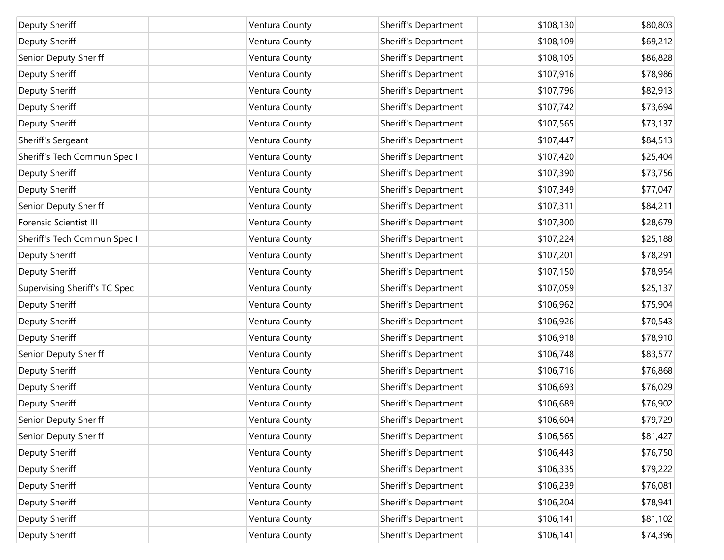| Deputy Sheriff                | Ventura County | Sheriff's Department | \$108,130 | \$80,803 |
|-------------------------------|----------------|----------------------|-----------|----------|
| Deputy Sheriff                | Ventura County | Sheriff's Department | \$108,109 | \$69,212 |
| Senior Deputy Sheriff         | Ventura County | Sheriff's Department | \$108,105 | \$86,828 |
| Deputy Sheriff                | Ventura County | Sheriff's Department | \$107,916 | \$78,986 |
| Deputy Sheriff                | Ventura County | Sheriff's Department | \$107,796 | \$82,913 |
| Deputy Sheriff                | Ventura County | Sheriff's Department | \$107,742 | \$73,694 |
| Deputy Sheriff                | Ventura County | Sheriff's Department | \$107,565 | \$73,137 |
| Sheriff's Sergeant            | Ventura County | Sheriff's Department | \$107,447 | \$84,513 |
| Sheriff's Tech Commun Spec II | Ventura County | Sheriff's Department | \$107,420 | \$25,404 |
| Deputy Sheriff                | Ventura County | Sheriff's Department | \$107,390 | \$73,756 |
| Deputy Sheriff                | Ventura County | Sheriff's Department | \$107,349 | \$77,047 |
| Senior Deputy Sheriff         | Ventura County | Sheriff's Department | \$107,311 | \$84,211 |
| <b>Forensic Scientist III</b> | Ventura County | Sheriff's Department | \$107,300 | \$28,679 |
| Sheriff's Tech Commun Spec II | Ventura County | Sheriff's Department | \$107,224 | \$25,188 |
| Deputy Sheriff                | Ventura County | Sheriff's Department | \$107,201 | \$78,291 |
| Deputy Sheriff                | Ventura County | Sheriff's Department | \$107,150 | \$78,954 |
| Supervising Sheriff's TC Spec | Ventura County | Sheriff's Department | \$107,059 | \$25,137 |
| Deputy Sheriff                | Ventura County | Sheriff's Department | \$106,962 | \$75,904 |
| Deputy Sheriff                | Ventura County | Sheriff's Department | \$106,926 | \$70,543 |
| Deputy Sheriff                | Ventura County | Sheriff's Department | \$106,918 | \$78,910 |
| Senior Deputy Sheriff         | Ventura County | Sheriff's Department | \$106,748 | \$83,577 |
| Deputy Sheriff                | Ventura County | Sheriff's Department | \$106,716 | \$76,868 |
| Deputy Sheriff                | Ventura County | Sheriff's Department | \$106,693 | \$76,029 |
| Deputy Sheriff                | Ventura County | Sheriff's Department | \$106,689 | \$76,902 |
| Senior Deputy Sheriff         | Ventura County | Sheriff's Department | \$106,604 | \$79,729 |
| Senior Deputy Sheriff         | Ventura County | Sheriff's Department | \$106,565 | \$81,427 |
| Deputy Sheriff                | Ventura County | Sheriff's Department | \$106,443 | \$76,750 |
| Deputy Sheriff                | Ventura County | Sheriff's Department | \$106,335 | \$79,222 |
| Deputy Sheriff                | Ventura County | Sheriff's Department | \$106,239 | \$76,081 |
| Deputy Sheriff                | Ventura County | Sheriff's Department | \$106,204 | \$78,941 |
| Deputy Sheriff                | Ventura County | Sheriff's Department | \$106,141 | \$81,102 |
| Deputy Sheriff                | Ventura County | Sheriff's Department | \$106,141 | \$74,396 |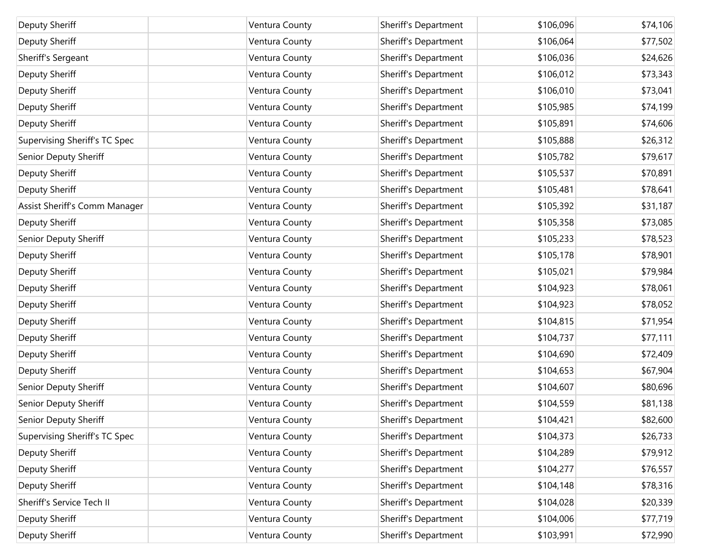| Deputy Sheriff                | Ventura County | Sheriff's Department | \$106,096 | \$74,106 |
|-------------------------------|----------------|----------------------|-----------|----------|
| Deputy Sheriff                | Ventura County | Sheriff's Department | \$106,064 | \$77,502 |
| Sheriff's Sergeant            | Ventura County | Sheriff's Department | \$106,036 | \$24,626 |
| Deputy Sheriff                | Ventura County | Sheriff's Department | \$106,012 | \$73,343 |
| Deputy Sheriff                | Ventura County | Sheriff's Department | \$106,010 | \$73,041 |
| Deputy Sheriff                | Ventura County | Sheriff's Department | \$105,985 | \$74,199 |
| Deputy Sheriff                | Ventura County | Sheriff's Department | \$105,891 | \$74,606 |
| Supervising Sheriff's TC Spec | Ventura County | Sheriff's Department | \$105,888 | \$26,312 |
| Senior Deputy Sheriff         | Ventura County | Sheriff's Department | \$105,782 | \$79,617 |
| Deputy Sheriff                | Ventura County | Sheriff's Department | \$105,537 | \$70,891 |
| Deputy Sheriff                | Ventura County | Sheriff's Department | \$105,481 | \$78,641 |
| Assist Sheriff's Comm Manager | Ventura County | Sheriff's Department | \$105,392 | \$31,187 |
| Deputy Sheriff                | Ventura County | Sheriff's Department | \$105,358 | \$73,085 |
| Senior Deputy Sheriff         | Ventura County | Sheriff's Department | \$105,233 | \$78,523 |
| Deputy Sheriff                | Ventura County | Sheriff's Department | \$105,178 | \$78,901 |
| Deputy Sheriff                | Ventura County | Sheriff's Department | \$105,021 | \$79,984 |
| Deputy Sheriff                | Ventura County | Sheriff's Department | \$104,923 | \$78,061 |
| Deputy Sheriff                | Ventura County | Sheriff's Department | \$104,923 | \$78,052 |
| Deputy Sheriff                | Ventura County | Sheriff's Department | \$104,815 | \$71,954 |
| Deputy Sheriff                | Ventura County | Sheriff's Department | \$104,737 | \$77,111 |
| Deputy Sheriff                | Ventura County | Sheriff's Department | \$104,690 | \$72,409 |
| Deputy Sheriff                | Ventura County | Sheriff's Department | \$104,653 | \$67,904 |
| Senior Deputy Sheriff         | Ventura County | Sheriff's Department | \$104,607 | \$80,696 |
| Senior Deputy Sheriff         | Ventura County | Sheriff's Department | \$104,559 | \$81,138 |
| Senior Deputy Sheriff         | Ventura County | Sheriff's Department | \$104,421 | \$82,600 |
| Supervising Sheriff's TC Spec | Ventura County | Sheriff's Department | \$104,373 | \$26,733 |
| Deputy Sheriff                | Ventura County | Sheriff's Department | \$104,289 | \$79,912 |
| Deputy Sheriff                | Ventura County | Sheriff's Department | \$104,277 | \$76,557 |
| Deputy Sheriff                | Ventura County | Sheriff's Department | \$104,148 | \$78,316 |
| Sheriff's Service Tech II     | Ventura County | Sheriff's Department | \$104,028 | \$20,339 |
| Deputy Sheriff                | Ventura County | Sheriff's Department | \$104,006 | \$77,719 |
| Deputy Sheriff                | Ventura County | Sheriff's Department | \$103,991 | \$72,990 |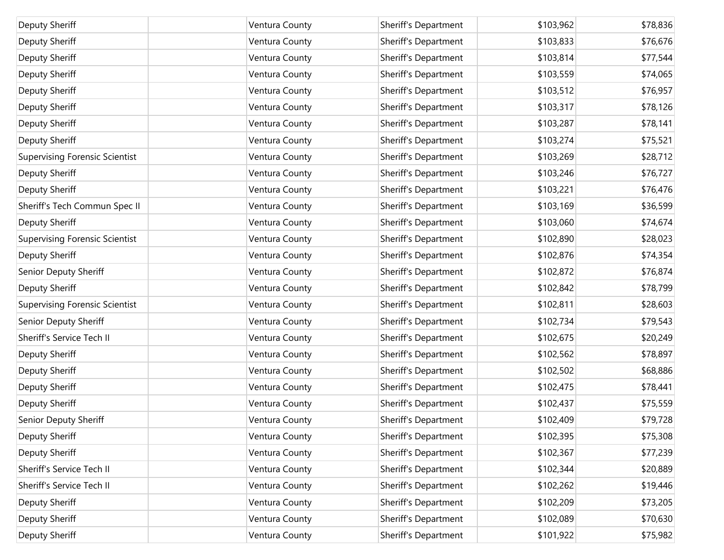| Deputy Sheriff                        | Ventura County | Sheriff's Department | \$103,962 | \$78,836 |
|---------------------------------------|----------------|----------------------|-----------|----------|
| Deputy Sheriff                        | Ventura County | Sheriff's Department | \$103,833 | \$76,676 |
| Deputy Sheriff                        | Ventura County | Sheriff's Department | \$103,814 | \$77,544 |
| Deputy Sheriff                        | Ventura County | Sheriff's Department | \$103,559 | \$74,065 |
| Deputy Sheriff                        | Ventura County | Sheriff's Department | \$103,512 | \$76,957 |
| Deputy Sheriff                        | Ventura County | Sheriff's Department | \$103,317 | \$78,126 |
| Deputy Sheriff                        | Ventura County | Sheriff's Department | \$103,287 | \$78,141 |
| Deputy Sheriff                        | Ventura County | Sheriff's Department | \$103,274 | \$75,521 |
| <b>Supervising Forensic Scientist</b> | Ventura County | Sheriff's Department | \$103,269 | \$28,712 |
| Deputy Sheriff                        | Ventura County | Sheriff's Department | \$103,246 | \$76,727 |
| Deputy Sheriff                        | Ventura County | Sheriff's Department | \$103,221 | \$76,476 |
| Sheriff's Tech Commun Spec II         | Ventura County | Sheriff's Department | \$103,169 | \$36,599 |
| Deputy Sheriff                        | Ventura County | Sheriff's Department | \$103,060 | \$74,674 |
| <b>Supervising Forensic Scientist</b> | Ventura County | Sheriff's Department | \$102,890 | \$28,023 |
| Deputy Sheriff                        | Ventura County | Sheriff's Department | \$102,876 | \$74,354 |
| Senior Deputy Sheriff                 | Ventura County | Sheriff's Department | \$102,872 | \$76,874 |
| Deputy Sheriff                        | Ventura County | Sheriff's Department | \$102,842 | \$78,799 |
| <b>Supervising Forensic Scientist</b> | Ventura County | Sheriff's Department | \$102,811 | \$28,603 |
| Senior Deputy Sheriff                 | Ventura County | Sheriff's Department | \$102,734 | \$79,543 |
| Sheriff's Service Tech II             | Ventura County | Sheriff's Department | \$102,675 | \$20,249 |
| Deputy Sheriff                        | Ventura County | Sheriff's Department | \$102,562 | \$78,897 |
| Deputy Sheriff                        | Ventura County | Sheriff's Department | \$102,502 | \$68,886 |
| Deputy Sheriff                        | Ventura County | Sheriff's Department | \$102,475 | \$78,441 |
| Deputy Sheriff                        | Ventura County | Sheriff's Department | \$102,437 | \$75,559 |
| Senior Deputy Sheriff                 | Ventura County | Sheriff's Department | \$102,409 | \$79,728 |
| Deputy Sheriff                        | Ventura County | Sheriff's Department | \$102,395 | \$75,308 |
| Deputy Sheriff                        | Ventura County | Sheriff's Department | \$102,367 | \$77,239 |
| Sheriff's Service Tech II             | Ventura County | Sheriff's Department | \$102,344 | \$20,889 |
| Sheriff's Service Tech II             | Ventura County | Sheriff's Department | \$102,262 | \$19,446 |
| Deputy Sheriff                        | Ventura County | Sheriff's Department | \$102,209 | \$73,205 |
| Deputy Sheriff                        | Ventura County | Sheriff's Department | \$102,089 | \$70,630 |
| Deputy Sheriff                        | Ventura County | Sheriff's Department | \$101,922 | \$75,982 |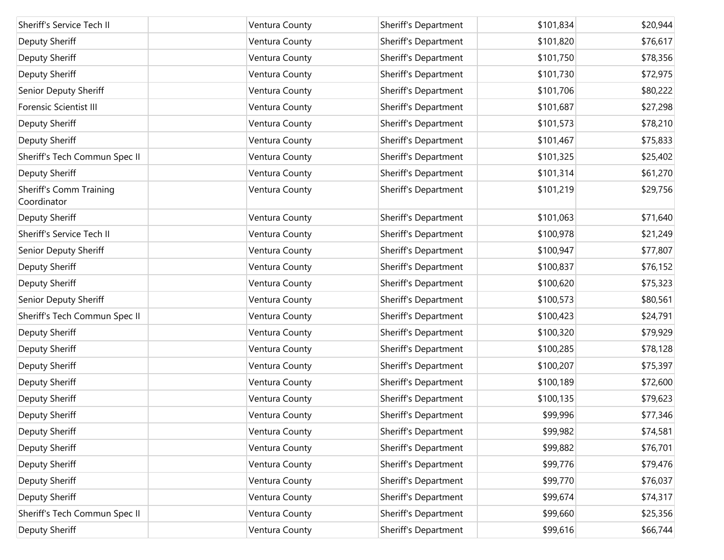| Sheriff's Service Tech II                     | Ventura County | Sheriff's Department | \$101,834 | \$20,944 |
|-----------------------------------------------|----------------|----------------------|-----------|----------|
| Deputy Sheriff                                | Ventura County | Sheriff's Department | \$101,820 | \$76,617 |
| Deputy Sheriff                                | Ventura County | Sheriff's Department | \$101,750 | \$78,356 |
| Deputy Sheriff                                | Ventura County | Sheriff's Department | \$101,730 | \$72,975 |
| Senior Deputy Sheriff                         | Ventura County | Sheriff's Department | \$101,706 | \$80,222 |
| <b>Forensic Scientist III</b>                 | Ventura County | Sheriff's Department | \$101,687 | \$27,298 |
| Deputy Sheriff                                | Ventura County | Sheriff's Department | \$101,573 | \$78,210 |
|                                               |                | Sheriff's Department | \$101,467 |          |
| Deputy Sheriff                                | Ventura County |                      |           | \$75,833 |
| Sheriff's Tech Commun Spec II                 | Ventura County | Sheriff's Department | \$101,325 | \$25,402 |
| Deputy Sheriff                                | Ventura County | Sheriff's Department | \$101,314 | \$61,270 |
| <b>Sheriff's Comm Training</b><br>Coordinator | Ventura County | Sheriff's Department | \$101,219 | \$29,756 |
| Deputy Sheriff                                | Ventura County | Sheriff's Department | \$101,063 | \$71,640 |
| Sheriff's Service Tech II                     | Ventura County | Sheriff's Department | \$100,978 | \$21,249 |
| Senior Deputy Sheriff                         | Ventura County | Sheriff's Department | \$100,947 | \$77,807 |
| Deputy Sheriff                                | Ventura County | Sheriff's Department | \$100,837 | \$76,152 |
| Deputy Sheriff                                | Ventura County | Sheriff's Department | \$100,620 | \$75,323 |
| Senior Deputy Sheriff                         | Ventura County | Sheriff's Department | \$100,573 | \$80,561 |
| Sheriff's Tech Commun Spec II                 | Ventura County | Sheriff's Department | \$100,423 | \$24,791 |
| Deputy Sheriff                                | Ventura County | Sheriff's Department | \$100,320 | \$79,929 |
| Deputy Sheriff                                | Ventura County | Sheriff's Department | \$100,285 | \$78,128 |
| Deputy Sheriff                                | Ventura County | Sheriff's Department | \$100,207 | \$75,397 |
| Deputy Sheriff                                | Ventura County | Sheriff's Department | \$100,189 | \$72,600 |
| Deputy Sheriff                                | Ventura County | Sheriff's Department | \$100,135 | \$79,623 |
| Deputy Sheriff                                | Ventura County | Sheriff's Department | \$99,996  | \$77,346 |
| Deputy Sheriff                                | Ventura County | Sheriff's Department | \$99,982  | \$74,581 |
| Deputy Sheriff                                | Ventura County | Sheriff's Department | \$99,882  | \$76,701 |
| Deputy Sheriff                                | Ventura County | Sheriff's Department | \$99,776  | \$79,476 |
| Deputy Sheriff                                | Ventura County | Sheriff's Department | \$99,770  | \$76,037 |
| Deputy Sheriff                                | Ventura County | Sheriff's Department | \$99,674  | \$74,317 |
| Sheriff's Tech Commun Spec II                 | Ventura County | Sheriff's Department | \$99,660  | \$25,356 |
| Deputy Sheriff                                | Ventura County | Sheriff's Department | \$99,616  | \$66,744 |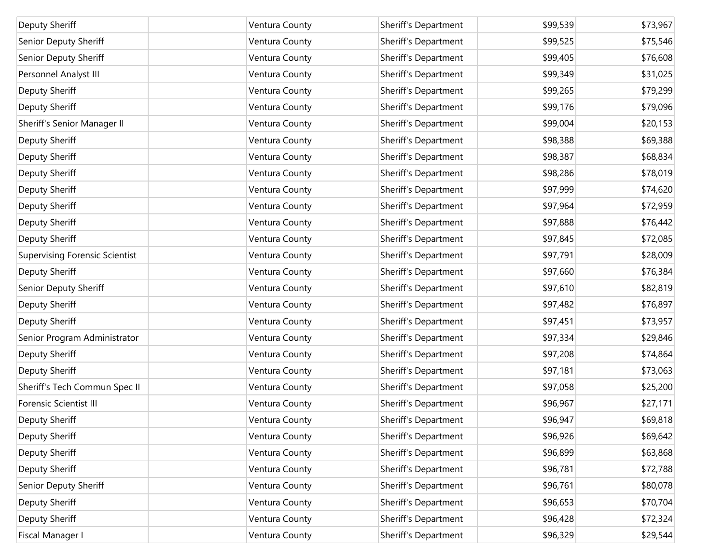| Deputy Sheriff                        | Ventura County | Sheriff's Department | \$99,539 | \$73,967 |
|---------------------------------------|----------------|----------------------|----------|----------|
| Senior Deputy Sheriff                 | Ventura County | Sheriff's Department | \$99,525 | \$75,546 |
| Senior Deputy Sheriff                 | Ventura County | Sheriff's Department | \$99,405 | \$76,608 |
| Personnel Analyst III                 | Ventura County | Sheriff's Department | \$99,349 | \$31,025 |
| Deputy Sheriff                        | Ventura County | Sheriff's Department | \$99,265 | \$79,299 |
| Deputy Sheriff                        | Ventura County | Sheriff's Department | \$99,176 | \$79,096 |
| Sheriff's Senior Manager II           | Ventura County | Sheriff's Department | \$99,004 | \$20,153 |
| Deputy Sheriff                        | Ventura County | Sheriff's Department | \$98,388 | \$69,388 |
| Deputy Sheriff                        | Ventura County | Sheriff's Department | \$98,387 | \$68,834 |
| Deputy Sheriff                        | Ventura County | Sheriff's Department | \$98,286 | \$78,019 |
| Deputy Sheriff                        | Ventura County | Sheriff's Department | \$97,999 | \$74,620 |
| Deputy Sheriff                        | Ventura County | Sheriff's Department | \$97,964 | \$72,959 |
| Deputy Sheriff                        | Ventura County | Sheriff's Department | \$97,888 | \$76,442 |
| Deputy Sheriff                        | Ventura County | Sheriff's Department | \$97,845 | \$72,085 |
| <b>Supervising Forensic Scientist</b> | Ventura County | Sheriff's Department | \$97,791 | \$28,009 |
| Deputy Sheriff                        | Ventura County | Sheriff's Department | \$97,660 | \$76,384 |
| Senior Deputy Sheriff                 | Ventura County | Sheriff's Department | \$97,610 | \$82,819 |
| Deputy Sheriff                        | Ventura County | Sheriff's Department | \$97,482 | \$76,897 |
| Deputy Sheriff                        | Ventura County | Sheriff's Department | \$97,451 | \$73,957 |
| Senior Program Administrator          | Ventura County | Sheriff's Department | \$97,334 | \$29,846 |
| Deputy Sheriff                        | Ventura County | Sheriff's Department | \$97,208 | \$74,864 |
| Deputy Sheriff                        | Ventura County | Sheriff's Department | \$97,181 | \$73,063 |
| Sheriff's Tech Commun Spec II         | Ventura County | Sheriff's Department | \$97,058 | \$25,200 |
| Forensic Scientist III                | Ventura County | Sheriff's Department | \$96,967 | \$27,171 |
| Deputy Sheriff                        | Ventura County | Sheriff's Department | \$96,947 | \$69,818 |
| Deputy Sheriff                        | Ventura County | Sheriff's Department | \$96,926 | \$69,642 |
| Deputy Sheriff                        | Ventura County | Sheriff's Department | \$96,899 | \$63,868 |
| Deputy Sheriff                        | Ventura County | Sheriff's Department | \$96,781 | \$72,788 |
| Senior Deputy Sheriff                 | Ventura County | Sheriff's Department | \$96,761 | \$80,078 |
| Deputy Sheriff                        | Ventura County | Sheriff's Department | \$96,653 | \$70,704 |
| Deputy Sheriff                        | Ventura County | Sheriff's Department | \$96,428 | \$72,324 |
| Fiscal Manager I                      | Ventura County | Sheriff's Department | \$96,329 | \$29,544 |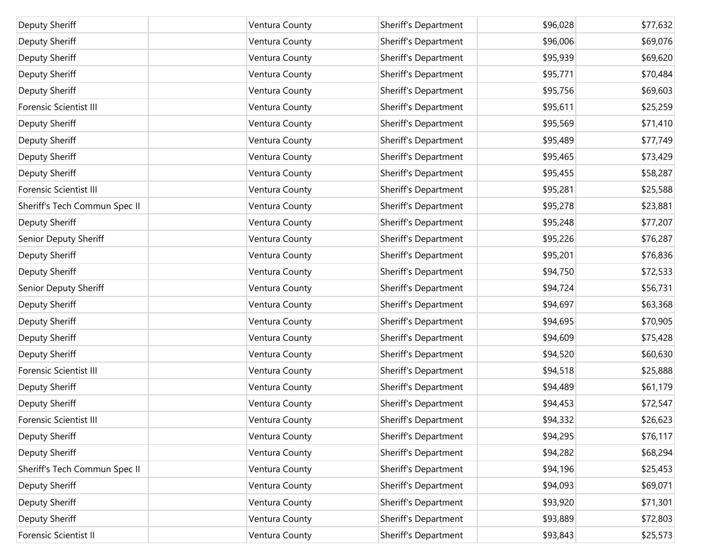| Deputy Sheriff                | Ventura County | Sheriff's Department | \$96,028 | \$77,632 |
|-------------------------------|----------------|----------------------|----------|----------|
| Deputy Sheriff                | Ventura County | Sheriff's Department | \$96,006 | \$69,076 |
| Deputy Sheriff                | Ventura County | Sheriff's Department | \$95,939 | \$69,620 |
| Deputy Sheriff                | Ventura County | Sheriff's Department | \$95,771 | \$70,484 |
| Deputy Sheriff                | Ventura County | Sheriff's Department | \$95,756 | \$69,603 |
| Forensic Scientist III        | Ventura County | Sheriff's Department | \$95,611 | \$25,259 |
| Deputy Sheriff                | Ventura County | Sheriff's Department | \$95,569 | \$71,410 |
| Deputy Sheriff                | Ventura County | Sheriff's Department | \$95,489 | \$77,749 |
| Deputy Sheriff                | Ventura County | Sheriff's Department | \$95,465 | \$73,429 |
| Deputy Sheriff                | Ventura County | Sheriff's Department | \$95,455 | \$58,287 |
| <b>Forensic Scientist III</b> | Ventura County | Sheriff's Department | \$95,281 | \$25,588 |
| Sheriff's Tech Commun Spec II | Ventura County | Sheriff's Department | \$95,278 | \$23,881 |
| Deputy Sheriff                | Ventura County | Sheriff's Department | \$95,248 | \$77,207 |
| Senior Deputy Sheriff         | Ventura County | Sheriff's Department | \$95,226 | \$76,287 |
| Deputy Sheriff                | Ventura County | Sheriff's Department | \$95,201 | \$76,836 |
| Deputy Sheriff                | Ventura County | Sheriff's Department | \$94,750 | \$72,533 |
| Senior Deputy Sheriff         | Ventura County | Sheriff's Department | \$94,724 | \$56,731 |
| Deputy Sheriff                | Ventura County | Sheriff's Department | \$94,697 | \$63,368 |
| Deputy Sheriff                | Ventura County | Sheriff's Department | \$94,695 | \$70,905 |
| Deputy Sheriff                | Ventura County | Sheriff's Department | \$94,609 | \$75,428 |
| Deputy Sheriff                | Ventura County | Sheriff's Department | \$94,520 | \$60,630 |
| Forensic Scientist III        | Ventura County | Sheriff's Department | \$94,518 | \$25,888 |
| Deputy Sheriff                | Ventura County | Sheriff's Department | \$94,489 | \$61,179 |
| Deputy Sheriff                | Ventura County | Sheriff's Department | \$94,453 | \$72,547 |
| <b>Forensic Scientist III</b> | Ventura County | Sheriff's Department | \$94,332 | \$26,623 |
| Deputy Sheriff                | Ventura County | Sheriff's Department | \$94,295 | \$76,117 |
| Deputy Sheriff                | Ventura County | Sheriff's Department | \$94,282 | \$68,294 |
| Sheriff's Tech Commun Spec II | Ventura County | Sheriff's Department | \$94,196 | \$25,453 |
| Deputy Sheriff                | Ventura County | Sheriff's Department | \$94,093 | \$69,071 |
| Deputy Sheriff                | Ventura County | Sheriff's Department | \$93,920 | \$71,301 |
| Deputy Sheriff                | Ventura County | Sheriff's Department | \$93,889 | \$72,803 |
| Forensic Scientist II         | Ventura County | Sheriff's Department | \$93,843 | \$25,573 |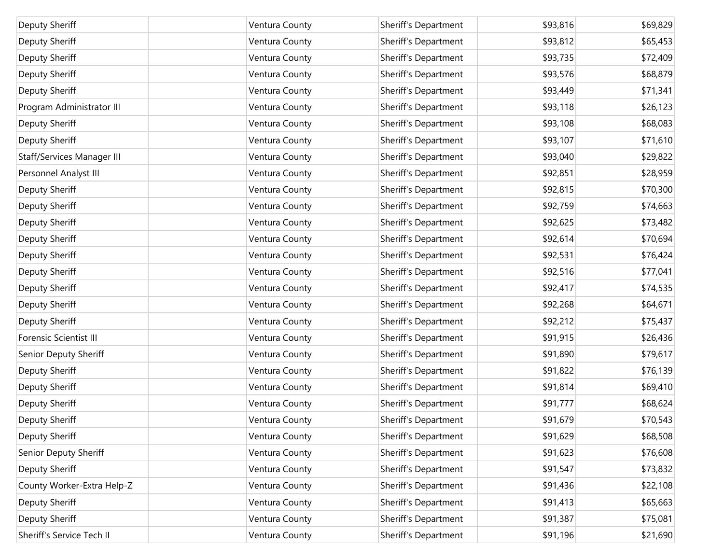| Deputy Sheriff             | Ventura County | Sheriff's Department | \$93,816 | \$69,829 |
|----------------------------|----------------|----------------------|----------|----------|
| Deputy Sheriff             | Ventura County | Sheriff's Department | \$93,812 | \$65,453 |
| Deputy Sheriff             | Ventura County | Sheriff's Department | \$93,735 | \$72,409 |
| Deputy Sheriff             | Ventura County | Sheriff's Department | \$93,576 | \$68,879 |
| Deputy Sheriff             | Ventura County | Sheriff's Department | \$93,449 | \$71,341 |
| Program Administrator III  | Ventura County | Sheriff's Department | \$93,118 | \$26,123 |
| Deputy Sheriff             | Ventura County | Sheriff's Department | \$93,108 | \$68,083 |
| Deputy Sheriff             | Ventura County | Sheriff's Department | \$93,107 | \$71,610 |
| Staff/Services Manager III | Ventura County | Sheriff's Department | \$93,040 | \$29,822 |
| Personnel Analyst III      | Ventura County | Sheriff's Department | \$92,851 | \$28,959 |
| Deputy Sheriff             | Ventura County | Sheriff's Department | \$92,815 | \$70,300 |
| Deputy Sheriff             | Ventura County | Sheriff's Department | \$92,759 | \$74,663 |
| Deputy Sheriff             | Ventura County | Sheriff's Department | \$92,625 | \$73,482 |
| Deputy Sheriff             | Ventura County | Sheriff's Department | \$92,614 | \$70,694 |
| Deputy Sheriff             | Ventura County | Sheriff's Department | \$92,531 | \$76,424 |
| Deputy Sheriff             | Ventura County | Sheriff's Department | \$92,516 | \$77,041 |
| Deputy Sheriff             | Ventura County | Sheriff's Department | \$92,417 | \$74,535 |
| Deputy Sheriff             | Ventura County | Sheriff's Department | \$92,268 | \$64,671 |
| Deputy Sheriff             | Ventura County | Sheriff's Department | \$92,212 | \$75,437 |
| Forensic Scientist III     | Ventura County | Sheriff's Department | \$91,915 | \$26,436 |
| Senior Deputy Sheriff      | Ventura County | Sheriff's Department | \$91,890 | \$79,617 |
| Deputy Sheriff             | Ventura County | Sheriff's Department | \$91,822 | \$76,139 |
| <b>Deputy Sheriff</b>      | Ventura County | Sheriff's Department | \$91,814 | \$69,410 |
| Deputy Sheriff             | Ventura County | Sheriff's Department | \$91,777 | \$68,624 |
| Deputy Sheriff             | Ventura County | Sheriff's Department | \$91,679 | \$70,543 |
| Deputy Sheriff             | Ventura County | Sheriff's Department | \$91,629 | \$68,508 |
| Senior Deputy Sheriff      | Ventura County | Sheriff's Department | \$91,623 | \$76,608 |
| <b>Deputy Sheriff</b>      | Ventura County | Sheriff's Department | \$91,547 | \$73,832 |
| County Worker-Extra Help-Z | Ventura County | Sheriff's Department | \$91,436 | \$22,108 |
| Deputy Sheriff             | Ventura County | Sheriff's Department | \$91,413 | \$65,663 |
| <b>Deputy Sheriff</b>      | Ventura County | Sheriff's Department | \$91,387 | \$75,081 |
| Sheriff's Service Tech II  | Ventura County | Sheriff's Department | \$91,196 | \$21,690 |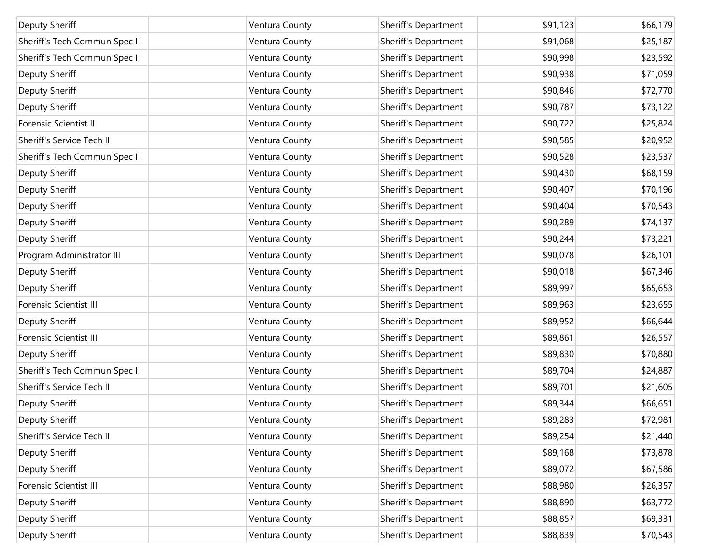| Deputy Sheriff                | Ventura County | Sheriff's Department | \$91,123 | \$66,179 |
|-------------------------------|----------------|----------------------|----------|----------|
| Sheriff's Tech Commun Spec II | Ventura County | Sheriff's Department | \$91,068 | \$25,187 |
| Sheriff's Tech Commun Spec II | Ventura County | Sheriff's Department | \$90,998 | \$23,592 |
| Deputy Sheriff                | Ventura County | Sheriff's Department | \$90,938 | \$71,059 |
| Deputy Sheriff                | Ventura County | Sheriff's Department | \$90,846 | \$72,770 |
| Deputy Sheriff                | Ventura County | Sheriff's Department | \$90,787 | \$73,122 |
| Forensic Scientist II         | Ventura County | Sheriff's Department | \$90,722 | \$25,824 |
| Sheriff's Service Tech II     | Ventura County | Sheriff's Department | \$90,585 | \$20,952 |
| Sheriff's Tech Commun Spec II | Ventura County | Sheriff's Department | \$90,528 | \$23,537 |
| Deputy Sheriff                | Ventura County | Sheriff's Department | \$90,430 | \$68,159 |
| Deputy Sheriff                | Ventura County | Sheriff's Department | \$90,407 | \$70,196 |
| Deputy Sheriff                | Ventura County | Sheriff's Department | \$90,404 | \$70,543 |
| Deputy Sheriff                | Ventura County | Sheriff's Department | \$90,289 | \$74,137 |
| Deputy Sheriff                | Ventura County | Sheriff's Department | \$90,244 | \$73,221 |
| Program Administrator III     | Ventura County | Sheriff's Department | \$90,078 | \$26,101 |
| Deputy Sheriff                | Ventura County | Sheriff's Department | \$90,018 | \$67,346 |
| Deputy Sheriff                | Ventura County | Sheriff's Department | \$89,997 | \$65,653 |
| <b>Forensic Scientist III</b> | Ventura County | Sheriff's Department | \$89,963 | \$23,655 |
| Deputy Sheriff                | Ventura County | Sheriff's Department | \$89,952 | \$66,644 |
| <b>Forensic Scientist III</b> | Ventura County | Sheriff's Department | \$89,861 | \$26,557 |
| Deputy Sheriff                | Ventura County | Sheriff's Department | \$89,830 | \$70,880 |
| Sheriff's Tech Commun Spec II | Ventura County | Sheriff's Department | \$89,704 | \$24,887 |
| Sheriff's Service Tech II     | Ventura County | Sheriff's Department | \$89,701 | \$21,605 |
| Deputy Sheriff                | Ventura County | Sheriff's Department | \$89,344 | \$66,651 |
| Deputy Sheriff                | Ventura County | Sheriff's Department | \$89,283 | \$72,981 |
| Sheriff's Service Tech II     | Ventura County | Sheriff's Department | \$89,254 | \$21,440 |
| Deputy Sheriff                | Ventura County | Sheriff's Department | \$89,168 | \$73,878 |
| Deputy Sheriff                | Ventura County | Sheriff's Department | \$89,072 | \$67,586 |
| <b>Forensic Scientist III</b> | Ventura County | Sheriff's Department | \$88,980 | \$26,357 |
| Deputy Sheriff                | Ventura County | Sheriff's Department | \$88,890 | \$63,772 |
| Deputy Sheriff                | Ventura County | Sheriff's Department | \$88,857 | \$69,331 |
| Deputy Sheriff                | Ventura County | Sheriff's Department | \$88,839 | \$70,543 |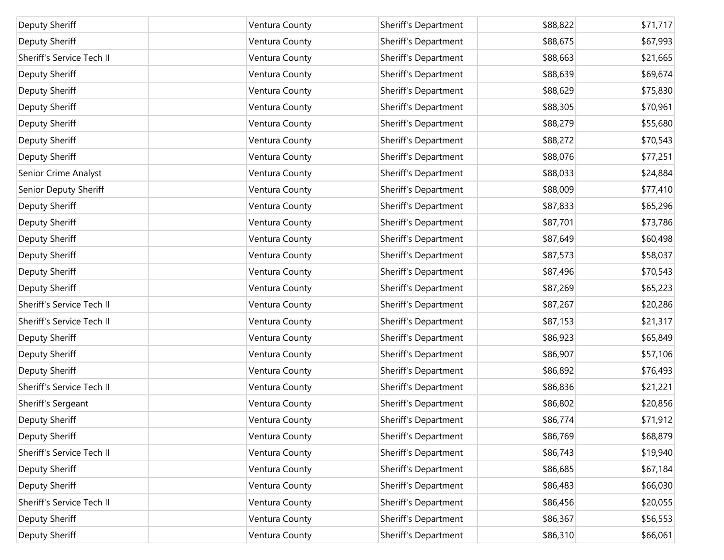| Deputy Sheriff            | Ventura County | Sheriff's Department | \$88,822 | \$71,717 |
|---------------------------|----------------|----------------------|----------|----------|
| Deputy Sheriff            | Ventura County | Sheriff's Department | \$88,675 | \$67,993 |
| Sheriff's Service Tech II | Ventura County | Sheriff's Department | \$88,663 | \$21,665 |
| Deputy Sheriff            | Ventura County | Sheriff's Department | \$88,639 | \$69,674 |
| Deputy Sheriff            | Ventura County | Sheriff's Department | \$88,629 | \$75,830 |
| Deputy Sheriff            | Ventura County | Sheriff's Department | \$88,305 | \$70,961 |
| Deputy Sheriff            | Ventura County | Sheriff's Department | \$88,279 | \$55,680 |
| Deputy Sheriff            | Ventura County | Sheriff's Department | \$88,272 | \$70,543 |
| Deputy Sheriff            | Ventura County | Sheriff's Department | \$88,076 | \$77,251 |
| Senior Crime Analyst      | Ventura County | Sheriff's Department | \$88,033 | \$24,884 |
| Senior Deputy Sheriff     | Ventura County | Sheriff's Department | \$88,009 | \$77,410 |
| Deputy Sheriff            | Ventura County | Sheriff's Department | \$87,833 | \$65,296 |
| Deputy Sheriff            | Ventura County | Sheriff's Department | \$87,701 | \$73,786 |
| Deputy Sheriff            | Ventura County | Sheriff's Department | \$87,649 | \$60,498 |
| Deputy Sheriff            | Ventura County | Sheriff's Department | \$87,573 | \$58,037 |
| Deputy Sheriff            | Ventura County | Sheriff's Department | \$87,496 | \$70,543 |
| Deputy Sheriff            | Ventura County | Sheriff's Department | \$87,269 | \$65,223 |
| Sheriff's Service Tech II | Ventura County | Sheriff's Department | \$87,267 | \$20,286 |
| Sheriff's Service Tech II | Ventura County | Sheriff's Department | \$87,153 | \$21,317 |
| Deputy Sheriff            | Ventura County | Sheriff's Department | \$86,923 | \$65,849 |
| Deputy Sheriff            | Ventura County | Sheriff's Department | \$86,907 | \$57,106 |
| Deputy Sheriff            | Ventura County | Sheriff's Department | \$86,892 | \$76,493 |
| Sheriff's Service Tech II | Ventura County | Sheriff's Department | \$86,836 | \$21,221 |
| Sheriff's Sergeant        | Ventura County | Sheriff's Department | \$86,802 | \$20,856 |
| Deputy Sheriff            | Ventura County | Sheriff's Department | \$86,774 | \$71,912 |
| Deputy Sheriff            | Ventura County | Sheriff's Department | \$86,769 | \$68,879 |
| Sheriff's Service Tech II | Ventura County | Sheriff's Department | \$86,743 | \$19,940 |
| Deputy Sheriff            | Ventura County | Sheriff's Department | \$86,685 | \$67,184 |
| Deputy Sheriff            | Ventura County | Sheriff's Department | \$86,483 | \$66,030 |
| Sheriff's Service Tech II | Ventura County | Sheriff's Department | \$86,456 | \$20,055 |
| Deputy Sheriff            | Ventura County | Sheriff's Department | \$86,367 | \$56,553 |
| Deputy Sheriff            | Ventura County | Sheriff's Department | \$86,310 | \$66,061 |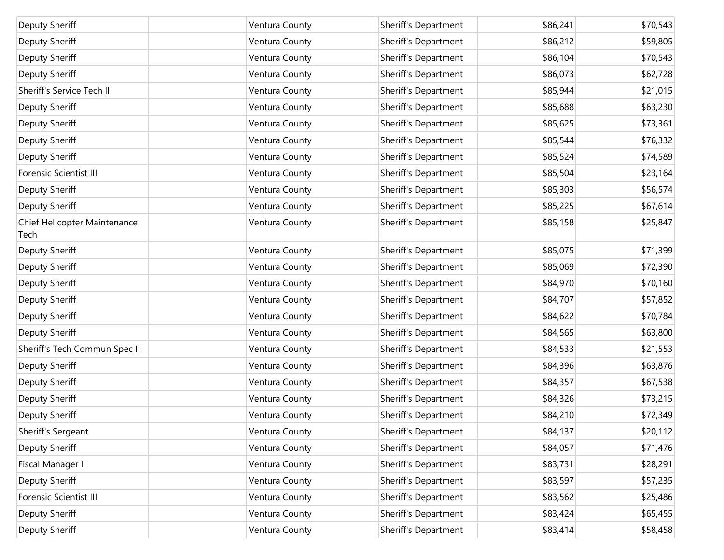| Deputy Sheriff                       | Ventura County | Sheriff's Department | \$86,241 | \$70,543 |
|--------------------------------------|----------------|----------------------|----------|----------|
| Deputy Sheriff                       | Ventura County | Sheriff's Department | \$86,212 | \$59,805 |
| Deputy Sheriff                       | Ventura County | Sheriff's Department | \$86,104 | \$70,543 |
| Deputy Sheriff                       | Ventura County | Sheriff's Department | \$86,073 | \$62,728 |
| Sheriff's Service Tech II            | Ventura County | Sheriff's Department | \$85,944 | \$21,015 |
| Deputy Sheriff                       | Ventura County | Sheriff's Department | \$85,688 | \$63,230 |
| Deputy Sheriff                       | Ventura County | Sheriff's Department | \$85,625 | \$73,361 |
| Deputy Sheriff                       | Ventura County | Sheriff's Department | \$85,544 | \$76,332 |
| Deputy Sheriff                       | Ventura County | Sheriff's Department | \$85,524 | \$74,589 |
| <b>Forensic Scientist III</b>        | Ventura County | Sheriff's Department | \$85,504 | \$23,164 |
| Deputy Sheriff                       | Ventura County | Sheriff's Department | \$85,303 | \$56,574 |
| Deputy Sheriff                       | Ventura County | Sheriff's Department | \$85,225 | \$67,614 |
| Chief Helicopter Maintenance<br>Tech | Ventura County | Sheriff's Department | \$85,158 | \$25,847 |
| Deputy Sheriff                       | Ventura County | Sheriff's Department | \$85,075 | \$71,399 |
| Deputy Sheriff                       | Ventura County | Sheriff's Department | \$85,069 | \$72,390 |
| Deputy Sheriff                       | Ventura County | Sheriff's Department | \$84,970 | \$70,160 |
| Deputy Sheriff                       | Ventura County | Sheriff's Department | \$84,707 | \$57,852 |
| Deputy Sheriff                       | Ventura County | Sheriff's Department | \$84,622 | \$70,784 |
| Deputy Sheriff                       | Ventura County | Sheriff's Department | \$84,565 | \$63,800 |
| Sheriff's Tech Commun Spec II        | Ventura County | Sheriff's Department | \$84,533 | \$21,553 |
| Deputy Sheriff                       | Ventura County | Sheriff's Department | \$84,396 | \$63,876 |
| Deputy Sheriff                       | Ventura County | Sheriff's Department | \$84,357 | \$67,538 |
| Deputy Sheriff                       | Ventura County | Sheriff's Department | \$84,326 | \$73,215 |
| Deputy Sheriff                       | Ventura County | Sheriff's Department | \$84,210 | \$72,349 |
| Sheriff's Sergeant                   | Ventura County | Sheriff's Department | \$84,137 | \$20,112 |
| Deputy Sheriff                       | Ventura County | Sheriff's Department | \$84,057 | \$71,476 |
| Fiscal Manager I                     | Ventura County | Sheriff's Department | \$83,731 | \$28,291 |
| Deputy Sheriff                       | Ventura County | Sheriff's Department | \$83,597 | \$57,235 |
| <b>Forensic Scientist III</b>        | Ventura County | Sheriff's Department | \$83,562 | \$25,486 |
| Deputy Sheriff                       | Ventura County | Sheriff's Department | \$83,424 | \$65,455 |
| Deputy Sheriff                       | Ventura County | Sheriff's Department | \$83,414 | \$58,458 |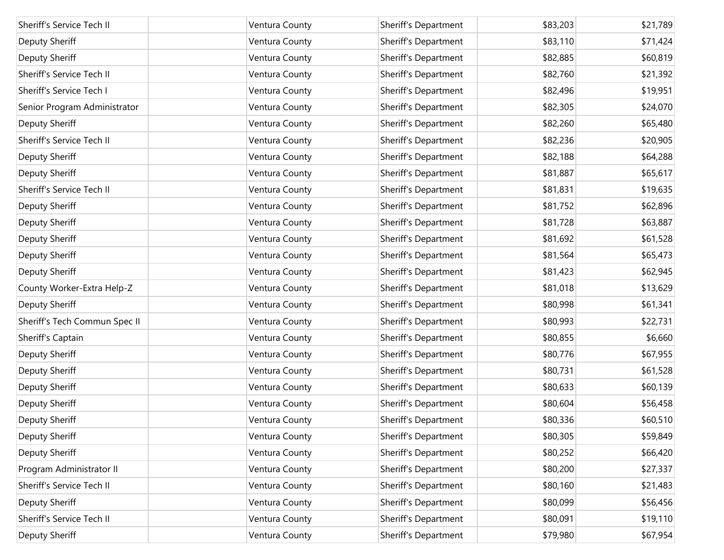| Sheriff's Service Tech II     | Ventura County | Sheriff's Department | \$83,203 | \$21,789 |
|-------------------------------|----------------|----------------------|----------|----------|
| Deputy Sheriff                | Ventura County | Sheriff's Department | \$83,110 | \$71,424 |
| Deputy Sheriff                | Ventura County | Sheriff's Department | \$82,885 | \$60,819 |
| Sheriff's Service Tech II     | Ventura County | Sheriff's Department | \$82,760 | \$21,392 |
| Sheriff's Service Tech I      | Ventura County | Sheriff's Department | \$82,496 | \$19,951 |
| Senior Program Administrator  | Ventura County | Sheriff's Department | \$82,305 | \$24,070 |
| Deputy Sheriff                | Ventura County | Sheriff's Department | \$82,260 | \$65,480 |
| Sheriff's Service Tech II     | Ventura County | Sheriff's Department | \$82,236 | \$20,905 |
| Deputy Sheriff                | Ventura County | Sheriff's Department | \$82,188 | \$64,288 |
| Deputy Sheriff                | Ventura County | Sheriff's Department | \$81,887 | \$65,617 |
| Sheriff's Service Tech II     | Ventura County | Sheriff's Department | \$81,831 | \$19,635 |
| Deputy Sheriff                | Ventura County | Sheriff's Department | \$81,752 | \$62,896 |
| Deputy Sheriff                | Ventura County | Sheriff's Department | \$81,728 | \$63,887 |
| Deputy Sheriff                | Ventura County | Sheriff's Department | \$81,692 | \$61,528 |
| Deputy Sheriff                | Ventura County | Sheriff's Department | \$81,564 | \$65,473 |
| Deputy Sheriff                | Ventura County | Sheriff's Department | \$81,423 | \$62,945 |
| County Worker-Extra Help-Z    | Ventura County | Sheriff's Department | \$81,018 | \$13,629 |
| Deputy Sheriff                | Ventura County | Sheriff's Department | \$80,998 | \$61,341 |
| Sheriff's Tech Commun Spec II | Ventura County | Sheriff's Department | \$80,993 | \$22,731 |
| Sheriff's Captain             | Ventura County | Sheriff's Department | \$80,855 | \$6,660  |
| Deputy Sheriff                | Ventura County | Sheriff's Department | \$80,776 | \$67,955 |
| Deputy Sheriff                | Ventura County | Sheriff's Department | \$80,731 | \$61,528 |
| Deputy Sheriff                | Ventura County | Sheriff's Department | \$80,633 | \$60,139 |
| Deputy Sheriff                | Ventura County | Sheriff's Department | \$80,604 | \$56,458 |
| Deputy Sheriff                | Ventura County | Sheriff's Department | \$80,336 | \$60,510 |
| Deputy Sheriff                | Ventura County | Sheriff's Department | \$80,305 | \$59,849 |
| Deputy Sheriff                | Ventura County | Sheriff's Department | \$80,252 | \$66,420 |
| Program Administrator II      | Ventura County | Sheriff's Department | \$80,200 | \$27,337 |
| Sheriff's Service Tech II     | Ventura County | Sheriff's Department | \$80,160 | \$21,483 |
| Deputy Sheriff                | Ventura County | Sheriff's Department | \$80,099 | \$56,456 |
| Sheriff's Service Tech II     | Ventura County | Sheriff's Department | \$80,091 | \$19,110 |
| Deputy Sheriff                | Ventura County | Sheriff's Department | \$79,980 | \$67,954 |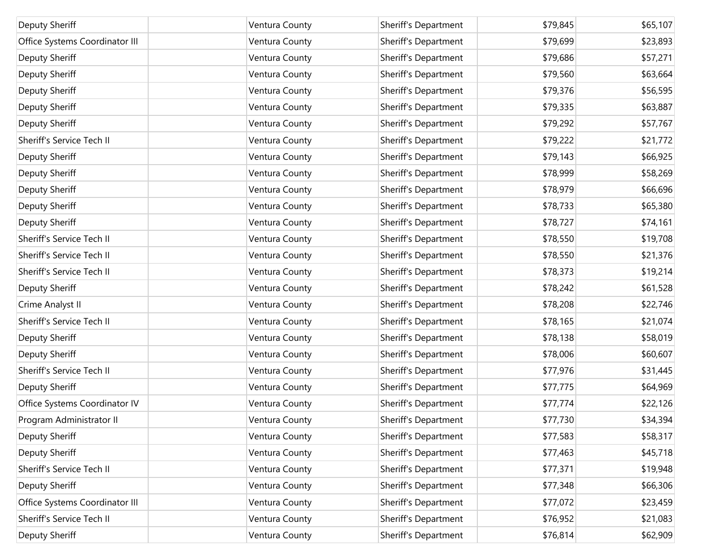| Deputy Sheriff                 | Ventura County | Sheriff's Department | \$79,845 | \$65,107 |
|--------------------------------|----------------|----------------------|----------|----------|
| Office Systems Coordinator III | Ventura County | Sheriff's Department | \$79,699 | \$23,893 |
| Deputy Sheriff                 | Ventura County | Sheriff's Department | \$79,686 | \$57,271 |
| Deputy Sheriff                 | Ventura County | Sheriff's Department | \$79,560 | \$63,664 |
| Deputy Sheriff                 | Ventura County | Sheriff's Department | \$79,376 | \$56,595 |
| Deputy Sheriff                 | Ventura County | Sheriff's Department | \$79,335 | \$63,887 |
| Deputy Sheriff                 | Ventura County | Sheriff's Department | \$79,292 | \$57,767 |
| Sheriff's Service Tech II      | Ventura County | Sheriff's Department | \$79,222 | \$21,772 |
| Deputy Sheriff                 | Ventura County | Sheriff's Department | \$79,143 | \$66,925 |
| Deputy Sheriff                 | Ventura County | Sheriff's Department | \$78,999 | \$58,269 |
| Deputy Sheriff                 | Ventura County | Sheriff's Department | \$78,979 | \$66,696 |
| Deputy Sheriff                 | Ventura County | Sheriff's Department | \$78,733 | \$65,380 |
| Deputy Sheriff                 | Ventura County | Sheriff's Department | \$78,727 | \$74,161 |
| Sheriff's Service Tech II      | Ventura County | Sheriff's Department | \$78,550 | \$19,708 |
| Sheriff's Service Tech II      | Ventura County | Sheriff's Department | \$78,550 | \$21,376 |
| Sheriff's Service Tech II      | Ventura County | Sheriff's Department | \$78,373 | \$19,214 |
| Deputy Sheriff                 | Ventura County | Sheriff's Department | \$78,242 | \$61,528 |
| Crime Analyst II               | Ventura County | Sheriff's Department | \$78,208 | \$22,746 |
| Sheriff's Service Tech II      | Ventura County | Sheriff's Department | \$78,165 | \$21,074 |
| Deputy Sheriff                 | Ventura County | Sheriff's Department | \$78,138 | \$58,019 |
| Deputy Sheriff                 | Ventura County | Sheriff's Department | \$78,006 | \$60,607 |
| Sheriff's Service Tech II      | Ventura County | Sheriff's Department | \$77,976 | \$31,445 |
| Deputy Sheriff                 | Ventura County | Sheriff's Department | \$77,775 | \$64,969 |
| Office Systems Coordinator IV  | Ventura County | Sheriff's Department | \$77,774 | \$22,126 |
| Program Administrator II       | Ventura County | Sheriff's Department | \$77,730 | \$34,394 |
| Deputy Sheriff                 | Ventura County | Sheriff's Department | \$77,583 | \$58,317 |
| Deputy Sheriff                 | Ventura County | Sheriff's Department | \$77,463 | \$45,718 |
| Sheriff's Service Tech II      | Ventura County | Sheriff's Department | \$77,371 | \$19,948 |
| Deputy Sheriff                 | Ventura County | Sheriff's Department | \$77,348 | \$66,306 |
| Office Systems Coordinator III | Ventura County | Sheriff's Department | \$77,072 | \$23,459 |
| Sheriff's Service Tech II      | Ventura County | Sheriff's Department | \$76,952 | \$21,083 |
| Deputy Sheriff                 | Ventura County | Sheriff's Department | \$76,814 | \$62,909 |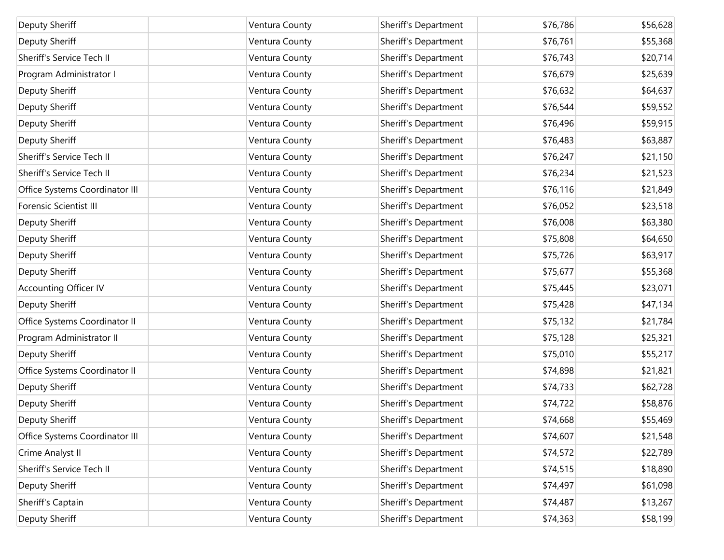| Deputy Sheriff                 | Ventura County | Sheriff's Department | \$76,786 | \$56,628 |
|--------------------------------|----------------|----------------------|----------|----------|
| Deputy Sheriff                 | Ventura County | Sheriff's Department | \$76,761 | \$55,368 |
| Sheriff's Service Tech II      | Ventura County | Sheriff's Department | \$76,743 | \$20,714 |
| Program Administrator I        | Ventura County | Sheriff's Department | \$76,679 | \$25,639 |
| Deputy Sheriff                 | Ventura County | Sheriff's Department | \$76,632 | \$64,637 |
| Deputy Sheriff                 | Ventura County | Sheriff's Department | \$76,544 | \$59,552 |
| Deputy Sheriff                 | Ventura County | Sheriff's Department | \$76,496 | \$59,915 |
| Deputy Sheriff                 | Ventura County | Sheriff's Department | \$76,483 | \$63,887 |
| Sheriff's Service Tech II      | Ventura County | Sheriff's Department | \$76,247 | \$21,150 |
| Sheriff's Service Tech II      | Ventura County | Sheriff's Department | \$76,234 | \$21,523 |
| Office Systems Coordinator III | Ventura County | Sheriff's Department | \$76,116 | \$21,849 |
| <b>Forensic Scientist III</b>  | Ventura County | Sheriff's Department | \$76,052 | \$23,518 |
| Deputy Sheriff                 | Ventura County | Sheriff's Department | \$76,008 | \$63,380 |
| Deputy Sheriff                 | Ventura County | Sheriff's Department | \$75,808 | \$64,650 |
| Deputy Sheriff                 | Ventura County | Sheriff's Department | \$75,726 | \$63,917 |
| Deputy Sheriff                 | Ventura County | Sheriff's Department | \$75,677 | \$55,368 |
| <b>Accounting Officer IV</b>   | Ventura County | Sheriff's Department | \$75,445 | \$23,071 |
| Deputy Sheriff                 | Ventura County | Sheriff's Department | \$75,428 | \$47,134 |
| Office Systems Coordinator II  | Ventura County | Sheriff's Department | \$75,132 | \$21,784 |
| Program Administrator II       | Ventura County | Sheriff's Department | \$75,128 | \$25,321 |
| Deputy Sheriff                 | Ventura County | Sheriff's Department | \$75,010 | \$55,217 |
| Office Systems Coordinator II  | Ventura County | Sheriff's Department | \$74,898 | \$21,821 |
| Deputy Sheriff                 | Ventura County | Sheriff's Department | \$74,733 | \$62,728 |
| Deputy Sheriff                 | Ventura County | Sheriff's Department | \$74,722 | \$58,876 |
| Deputy Sheriff                 | Ventura County | Sheriff's Department | \$74,668 | \$55,469 |
| Office Systems Coordinator III | Ventura County | Sheriff's Department | \$74,607 | \$21,548 |
| Crime Analyst II               | Ventura County | Sheriff's Department | \$74,572 | \$22,789 |
| Sheriff's Service Tech II      | Ventura County | Sheriff's Department | \$74,515 | \$18,890 |
| Deputy Sheriff                 | Ventura County | Sheriff's Department | \$74,497 | \$61,098 |
| Sheriff's Captain              | Ventura County | Sheriff's Department | \$74,487 | \$13,267 |
| Deputy Sheriff                 | Ventura County | Sheriff's Department | \$74,363 | \$58,199 |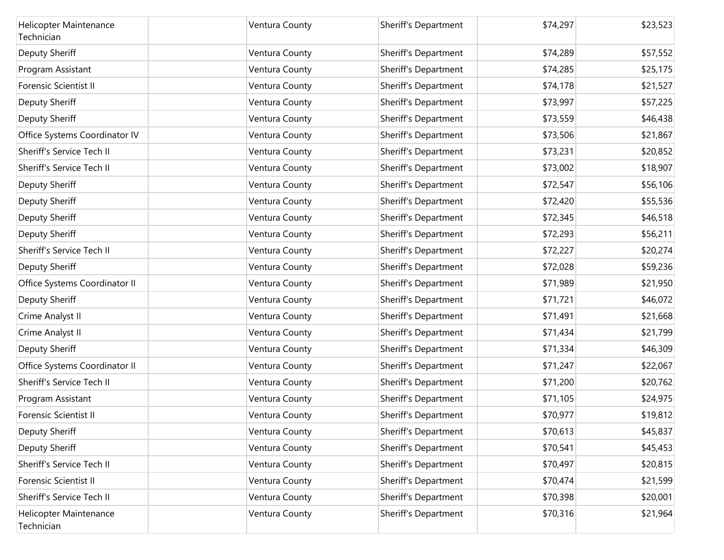| Helicopter Maintenance<br>Technician | Ventura County | Sheriff's Department | \$74,297 | \$23,523 |
|--------------------------------------|----------------|----------------------|----------|----------|
| Deputy Sheriff                       | Ventura County | Sheriff's Department | \$74,289 | \$57,552 |
| Program Assistant                    | Ventura County | Sheriff's Department | \$74,285 | \$25,175 |
| <b>Forensic Scientist II</b>         | Ventura County | Sheriff's Department | \$74,178 | \$21,527 |
| Deputy Sheriff                       | Ventura County | Sheriff's Department | \$73,997 | \$57,225 |
| Deputy Sheriff                       | Ventura County | Sheriff's Department | \$73,559 | \$46,438 |
| Office Systems Coordinator IV        | Ventura County | Sheriff's Department | \$73,506 | \$21,867 |
| Sheriff's Service Tech II            | Ventura County | Sheriff's Department | \$73,231 | \$20,852 |
| Sheriff's Service Tech II            | Ventura County | Sheriff's Department | \$73,002 | \$18,907 |
| Deputy Sheriff                       | Ventura County | Sheriff's Department | \$72,547 | \$56,106 |
| Deputy Sheriff                       | Ventura County | Sheriff's Department | \$72,420 | \$55,536 |
| Deputy Sheriff                       | Ventura County | Sheriff's Department | \$72,345 | \$46,518 |
| Deputy Sheriff                       | Ventura County | Sheriff's Department | \$72,293 | \$56,211 |
| Sheriff's Service Tech II            | Ventura County | Sheriff's Department | \$72,227 | \$20,274 |
| Deputy Sheriff                       | Ventura County | Sheriff's Department | \$72,028 | \$59,236 |
| Office Systems Coordinator II        | Ventura County | Sheriff's Department | \$71,989 | \$21,950 |
| Deputy Sheriff                       | Ventura County | Sheriff's Department | \$71,721 | \$46,072 |
| Crime Analyst II                     | Ventura County | Sheriff's Department | \$71,491 | \$21,668 |
| Crime Analyst II                     | Ventura County | Sheriff's Department | \$71,434 | \$21,799 |
| Deputy Sheriff                       | Ventura County | Sheriff's Department | \$71,334 | \$46,309 |
| Office Systems Coordinator II        | Ventura County | Sheriff's Department | \$71,247 | \$22,067 |
| Sheriff's Service Tech II            | Ventura County | Sheriff's Department | \$71,200 | \$20,762 |
| Program Assistant                    | Ventura County | Sheriff's Department | \$71,105 | \$24,975 |
| Forensic Scientist II                | Ventura County | Sheriff's Department | \$70,977 | \$19,812 |
| Deputy Sheriff                       | Ventura County | Sheriff's Department | \$70,613 | \$45,837 |
| Deputy Sheriff                       | Ventura County | Sheriff's Department | \$70,541 | \$45,453 |
| Sheriff's Service Tech II            | Ventura County | Sheriff's Department | \$70,497 | \$20,815 |
| Forensic Scientist II                | Ventura County | Sheriff's Department | \$70,474 | \$21,599 |
| Sheriff's Service Tech II            | Ventura County | Sheriff's Department | \$70,398 | \$20,001 |
| Helicopter Maintenance<br>Technician | Ventura County | Sheriff's Department | \$70,316 | \$21,964 |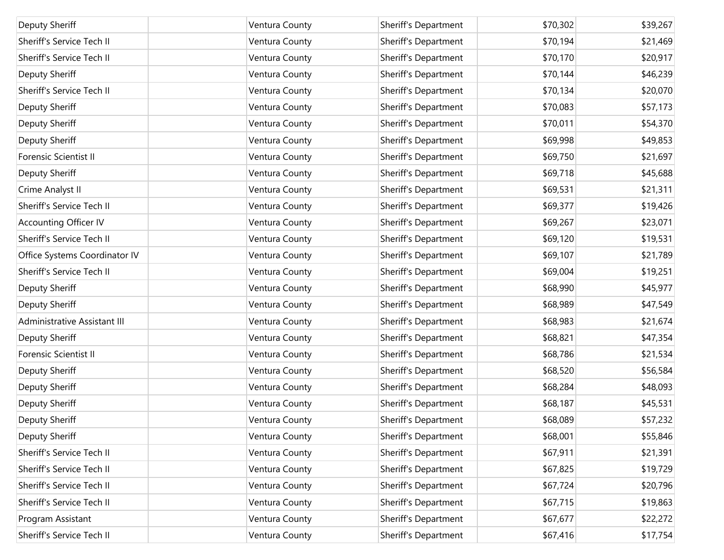| Deputy Sheriff                | Ventura County | Sheriff's Department | \$70,302 | \$39,267 |
|-------------------------------|----------------|----------------------|----------|----------|
| Sheriff's Service Tech II     | Ventura County | Sheriff's Department | \$70,194 | \$21,469 |
| Sheriff's Service Tech II     | Ventura County | Sheriff's Department | \$70,170 | \$20,917 |
| Deputy Sheriff                | Ventura County | Sheriff's Department | \$70,144 | \$46,239 |
| Sheriff's Service Tech II     | Ventura County | Sheriff's Department | \$70,134 | \$20,070 |
| Deputy Sheriff                | Ventura County | Sheriff's Department | \$70,083 | \$57,173 |
| Deputy Sheriff                | Ventura County | Sheriff's Department | \$70,011 | \$54,370 |
| Deputy Sheriff                | Ventura County | Sheriff's Department | \$69,998 | \$49,853 |
| Forensic Scientist II         | Ventura County | Sheriff's Department | \$69,750 | \$21,697 |
| Deputy Sheriff                | Ventura County | Sheriff's Department | \$69,718 | \$45,688 |
| Crime Analyst II              | Ventura County | Sheriff's Department | \$69,531 | \$21,311 |
| Sheriff's Service Tech II     | Ventura County | Sheriff's Department | \$69,377 | \$19,426 |
| Accounting Officer IV         | Ventura County | Sheriff's Department | \$69,267 | \$23,071 |
| Sheriff's Service Tech II     | Ventura County | Sheriff's Department | \$69,120 | \$19,531 |
| Office Systems Coordinator IV | Ventura County | Sheriff's Department | \$69,107 | \$21,789 |
| Sheriff's Service Tech II     | Ventura County | Sheriff's Department | \$69,004 | \$19,251 |
| Deputy Sheriff                | Ventura County | Sheriff's Department | \$68,990 | \$45,977 |
| Deputy Sheriff                | Ventura County | Sheriff's Department | \$68,989 | \$47,549 |
| Administrative Assistant III  | Ventura County | Sheriff's Department | \$68,983 | \$21,674 |
| Deputy Sheriff                | Ventura County | Sheriff's Department | \$68,821 | \$47,354 |
| <b>Forensic Scientist II</b>  | Ventura County | Sheriff's Department | \$68,786 | \$21,534 |
| Deputy Sheriff                | Ventura County | Sheriff's Department | \$68,520 | \$56,584 |
| Deputy Sheriff                | Ventura County | Sheriff's Department | \$68,284 | \$48,093 |
| Deputy Sheriff                | Ventura County | Sheriff's Department | \$68,187 | \$45,531 |
| Deputy Sheriff                | Ventura County | Sheriff's Department | \$68,089 | \$57,232 |
| Deputy Sheriff                | Ventura County | Sheriff's Department | \$68,001 | \$55,846 |
| Sheriff's Service Tech II     | Ventura County | Sheriff's Department | \$67,911 | \$21,391 |
| Sheriff's Service Tech II     | Ventura County | Sheriff's Department | \$67,825 | \$19,729 |
| Sheriff's Service Tech II     | Ventura County | Sheriff's Department | \$67,724 | \$20,796 |
| Sheriff's Service Tech II     | Ventura County | Sheriff's Department | \$67,715 | \$19,863 |
| Program Assistant             | Ventura County | Sheriff's Department | \$67,677 | \$22,272 |
| Sheriff's Service Tech II     | Ventura County | Sheriff's Department | \$67,416 | \$17,754 |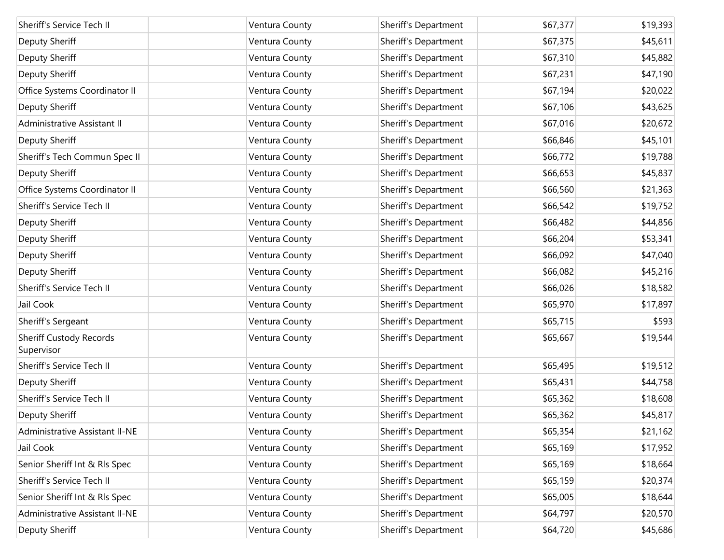| Sheriff's Service Tech II                    | Ventura County | Sheriff's Department | \$67,377 | \$19,393 |
|----------------------------------------------|----------------|----------------------|----------|----------|
|                                              |                |                      |          |          |
| Deputy Sheriff                               | Ventura County | Sheriff's Department | \$67,375 | \$45,611 |
| Deputy Sheriff                               | Ventura County | Sheriff's Department | \$67,310 | \$45,882 |
| Deputy Sheriff                               | Ventura County | Sheriff's Department | \$67,231 | \$47,190 |
| Office Systems Coordinator II                | Ventura County | Sheriff's Department | \$67,194 | \$20,022 |
| Deputy Sheriff                               | Ventura County | Sheriff's Department | \$67,106 | \$43,625 |
| Administrative Assistant II                  | Ventura County | Sheriff's Department | \$67,016 | \$20,672 |
| Deputy Sheriff                               | Ventura County | Sheriff's Department | \$66,846 | \$45,101 |
| Sheriff's Tech Commun Spec II                | Ventura County | Sheriff's Department | \$66,772 | \$19,788 |
| Deputy Sheriff                               | Ventura County | Sheriff's Department | \$66,653 | \$45,837 |
| Office Systems Coordinator II                | Ventura County | Sheriff's Department | \$66,560 | \$21,363 |
| Sheriff's Service Tech II                    | Ventura County | Sheriff's Department | \$66,542 | \$19,752 |
| Deputy Sheriff                               | Ventura County | Sheriff's Department | \$66,482 | \$44,856 |
| Deputy Sheriff                               | Ventura County | Sheriff's Department | \$66,204 | \$53,341 |
| Deputy Sheriff                               | Ventura County | Sheriff's Department | \$66,092 | \$47,040 |
| Deputy Sheriff                               | Ventura County | Sheriff's Department | \$66,082 | \$45,216 |
| Sheriff's Service Tech II                    | Ventura County | Sheriff's Department | \$66,026 | \$18,582 |
| Jail Cook                                    | Ventura County | Sheriff's Department | \$65,970 | \$17,897 |
| Sheriff's Sergeant                           | Ventura County | Sheriff's Department | \$65,715 | \$593    |
| <b>Sheriff Custody Records</b><br>Supervisor | Ventura County | Sheriff's Department | \$65,667 | \$19,544 |
| Sheriff's Service Tech II                    | Ventura County | Sheriff's Department | \$65,495 | \$19,512 |
| Deputy Sheriff                               | Ventura County | Sheriff's Department | \$65,431 | \$44,758 |
| Sheriff's Service Tech II                    | Ventura County | Sheriff's Department | \$65,362 | \$18,608 |
| Deputy Sheriff                               | Ventura County | Sheriff's Department | \$65,362 | \$45,817 |
| Administrative Assistant II-NE               | Ventura County | Sheriff's Department | \$65,354 | \$21,162 |
| Jail Cook                                    | Ventura County | Sheriff's Department | \$65,169 | \$17,952 |
| Senior Sheriff Int & RIs Spec                | Ventura County | Sheriff's Department | \$65,169 | \$18,664 |
| Sheriff's Service Tech II                    | Ventura County | Sheriff's Department | \$65,159 | \$20,374 |
| Senior Sheriff Int & RIs Spec                | Ventura County | Sheriff's Department | \$65,005 | \$18,644 |
| Administrative Assistant II-NE               | Ventura County | Sheriff's Department | \$64,797 | \$20,570 |
| Deputy Sheriff                               | Ventura County | Sheriff's Department | \$64,720 | \$45,686 |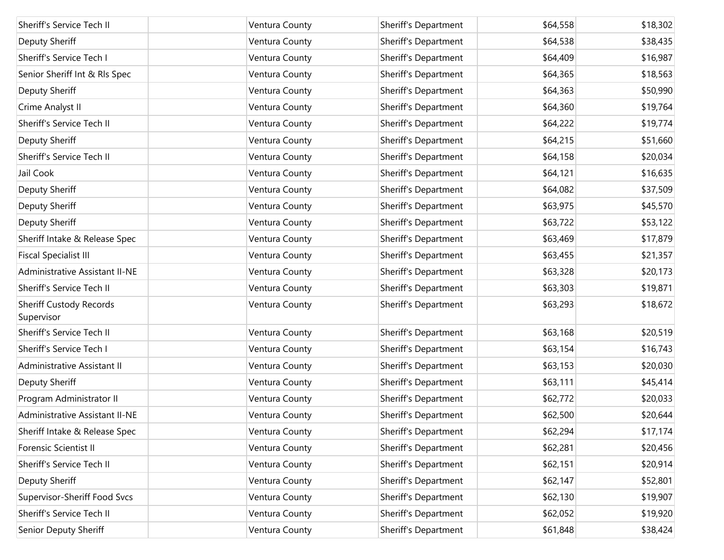| Sheriff's Service Tech II                    | Ventura County | Sheriff's Department | \$64,558 | \$18,302 |
|----------------------------------------------|----------------|----------------------|----------|----------|
| Deputy Sheriff                               | Ventura County | Sheriff's Department | \$64,538 | \$38,435 |
| Sheriff's Service Tech I                     | Ventura County | Sheriff's Department | \$64,409 | \$16,987 |
| Senior Sheriff Int & RIs Spec                | Ventura County | Sheriff's Department | \$64,365 | \$18,563 |
| Deputy Sheriff                               | Ventura County | Sheriff's Department | \$64,363 | \$50,990 |
| Crime Analyst II                             | Ventura County | Sheriff's Department | \$64,360 | \$19,764 |
| Sheriff's Service Tech II                    | Ventura County | Sheriff's Department | \$64,222 | \$19,774 |
| Deputy Sheriff                               | Ventura County | Sheriff's Department | \$64,215 | \$51,660 |
| Sheriff's Service Tech II                    | Ventura County | Sheriff's Department | \$64,158 | \$20,034 |
| Jail Cook                                    | Ventura County | Sheriff's Department | \$64,121 | \$16,635 |
| Deputy Sheriff                               | Ventura County | Sheriff's Department | \$64,082 | \$37,509 |
| Deputy Sheriff                               | Ventura County | Sheriff's Department | \$63,975 | \$45,570 |
| Deputy Sheriff                               | Ventura County | Sheriff's Department | \$63,722 | \$53,122 |
| Sheriff Intake & Release Spec                | Ventura County | Sheriff's Department | \$63,469 | \$17,879 |
| <b>Fiscal Specialist III</b>                 | Ventura County | Sheriff's Department | \$63,455 | \$21,357 |
| Administrative Assistant II-NE               | Ventura County | Sheriff's Department | \$63,328 | \$20,173 |
| Sheriff's Service Tech II                    | Ventura County | Sheriff's Department | \$63,303 | \$19,871 |
| <b>Sheriff Custody Records</b><br>Supervisor | Ventura County | Sheriff's Department | \$63,293 | \$18,672 |
| Sheriff's Service Tech II                    | Ventura County | Sheriff's Department | \$63,168 | \$20,519 |
| Sheriff's Service Tech I                     | Ventura County | Sheriff's Department | \$63,154 | \$16,743 |
| Administrative Assistant II                  | Ventura County | Sheriff's Department | \$63,153 | \$20,030 |
| Deputy Sheriff                               | Ventura County | Sheriff's Department | \$63,111 | \$45,414 |
| Program Administrator II                     | Ventura County | Sheriff's Department | \$62,772 | \$20,033 |
| Administrative Assistant II-NE               | Ventura County | Sheriff's Department | \$62,500 | \$20,644 |
| Sheriff Intake & Release Spec                | Ventura County | Sheriff's Department | \$62,294 | \$17,174 |
| Forensic Scientist II                        | Ventura County | Sheriff's Department | \$62,281 | \$20,456 |
| Sheriff's Service Tech II                    | Ventura County | Sheriff's Department | \$62,151 | \$20,914 |
| Deputy Sheriff                               | Ventura County | Sheriff's Department | \$62,147 | \$52,801 |
| Supervisor-Sheriff Food Svcs                 | Ventura County | Sheriff's Department | \$62,130 | \$19,907 |
| Sheriff's Service Tech II                    | Ventura County | Sheriff's Department | \$62,052 | \$19,920 |
| Senior Deputy Sheriff                        | Ventura County | Sheriff's Department | \$61,848 | \$38,424 |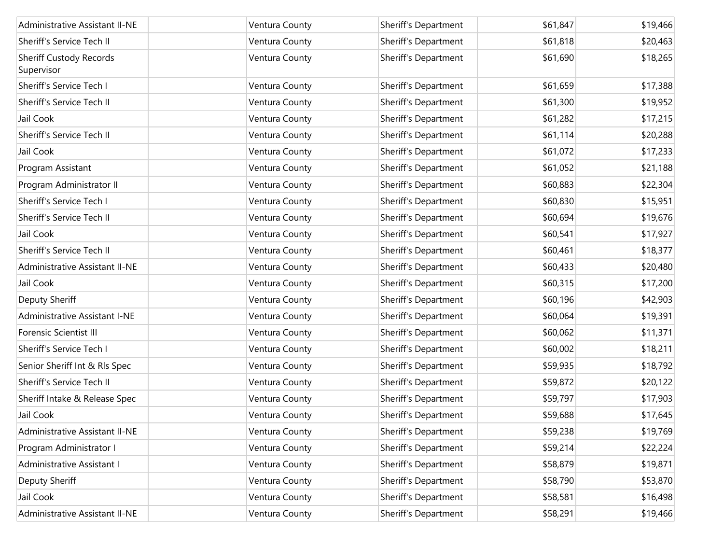| Administrative Assistant II-NE               | Ventura County | Sheriff's Department | \$61,847 | \$19,466 |
|----------------------------------------------|----------------|----------------------|----------|----------|
| Sheriff's Service Tech II                    | Ventura County | Sheriff's Department | \$61,818 | \$20,463 |
| <b>Sheriff Custody Records</b><br>Supervisor | Ventura County | Sheriff's Department | \$61,690 | \$18,265 |
| Sheriff's Service Tech I                     | Ventura County | Sheriff's Department | \$61,659 | \$17,388 |
| Sheriff's Service Tech II                    | Ventura County | Sheriff's Department | \$61,300 | \$19,952 |
| Jail Cook                                    | Ventura County | Sheriff's Department | \$61,282 | \$17,215 |
| Sheriff's Service Tech II                    | Ventura County | Sheriff's Department | \$61,114 | \$20,288 |
| Jail Cook                                    | Ventura County | Sheriff's Department | \$61,072 | \$17,233 |
| Program Assistant                            | Ventura County | Sheriff's Department | \$61,052 | \$21,188 |
| Program Administrator II                     | Ventura County | Sheriff's Department | \$60,883 | \$22,304 |
| Sheriff's Service Tech I                     | Ventura County | Sheriff's Department | \$60,830 | \$15,951 |
| Sheriff's Service Tech II                    | Ventura County | Sheriff's Department | \$60,694 | \$19,676 |
| Jail Cook                                    | Ventura County | Sheriff's Department | \$60,541 | \$17,927 |
| Sheriff's Service Tech II                    | Ventura County | Sheriff's Department | \$60,461 | \$18,377 |
| Administrative Assistant II-NE               | Ventura County | Sheriff's Department | \$60,433 | \$20,480 |
| Jail Cook                                    | Ventura County | Sheriff's Department | \$60,315 | \$17,200 |
| Deputy Sheriff                               | Ventura County | Sheriff's Department | \$60,196 | \$42,903 |
| <b>Administrative Assistant I-NE</b>         | Ventura County | Sheriff's Department | \$60,064 | \$19,391 |
| <b>Forensic Scientist III</b>                | Ventura County | Sheriff's Department | \$60,062 | \$11,371 |
| Sheriff's Service Tech I                     | Ventura County | Sheriff's Department | \$60,002 | \$18,211 |
| Senior Sheriff Int & Rls Spec                | Ventura County | Sheriff's Department | \$59,935 | \$18,792 |
| Sheriff's Service Tech II                    | Ventura County | Sheriff's Department | \$59,872 | \$20,122 |
| Sheriff Intake & Release Spec                | Ventura County | Sheriff's Department | \$59,797 | \$17,903 |
| Jail Cook                                    | Ventura County | Sheriff's Department | \$59,688 | \$17,645 |
| Administrative Assistant II-NE               | Ventura County | Sheriff's Department | \$59,238 | \$19,769 |
| Program Administrator I                      | Ventura County | Sheriff's Department | \$59,214 | \$22,224 |
| Administrative Assistant I                   | Ventura County | Sheriff's Department | \$58,879 | \$19,871 |
| Deputy Sheriff                               | Ventura County | Sheriff's Department | \$58,790 | \$53,870 |
| Jail Cook                                    | Ventura County | Sheriff's Department | \$58,581 | \$16,498 |
| <b>Administrative Assistant II-NE</b>        | Ventura County | Sheriff's Department | \$58,291 | \$19,466 |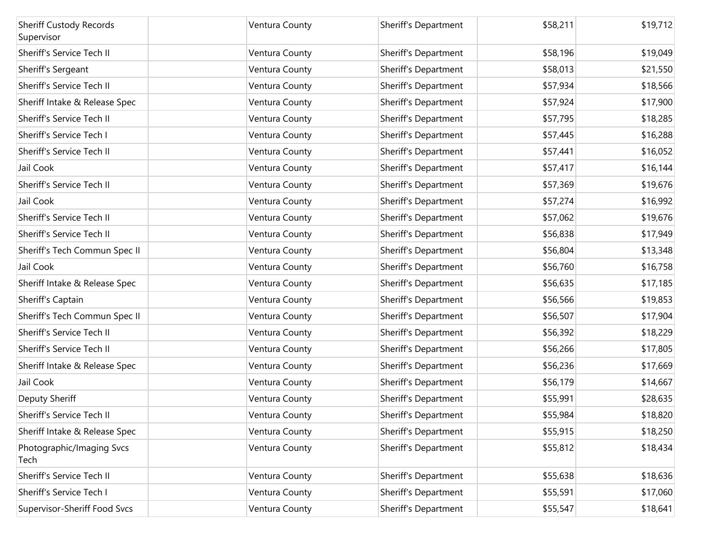| <b>Sheriff Custody Records</b><br>Supervisor | Ventura County | Sheriff's Department | \$58,211 | \$19,712 |
|----------------------------------------------|----------------|----------------------|----------|----------|
| Sheriff's Service Tech II                    | Ventura County | Sheriff's Department | \$58,196 | \$19,049 |
| Sheriff's Sergeant                           | Ventura County | Sheriff's Department | \$58,013 | \$21,550 |
| Sheriff's Service Tech II                    | Ventura County | Sheriff's Department | \$57,934 | \$18,566 |
| Sheriff Intake & Release Spec                | Ventura County | Sheriff's Department | \$57,924 | \$17,900 |
| Sheriff's Service Tech II                    | Ventura County | Sheriff's Department | \$57,795 | \$18,285 |
| Sheriff's Service Tech I                     | Ventura County | Sheriff's Department | \$57,445 | \$16,288 |
| Sheriff's Service Tech II                    | Ventura County | Sheriff's Department | \$57,441 | \$16,052 |
| Jail Cook                                    | Ventura County | Sheriff's Department | \$57,417 | \$16,144 |
| Sheriff's Service Tech II                    | Ventura County | Sheriff's Department | \$57,369 | \$19,676 |
| Jail Cook                                    | Ventura County | Sheriff's Department | \$57,274 | \$16,992 |
| Sheriff's Service Tech II                    | Ventura County | Sheriff's Department | \$57,062 | \$19,676 |
| Sheriff's Service Tech II                    | Ventura County | Sheriff's Department | \$56,838 | \$17,949 |
| Sheriff's Tech Commun Spec II                | Ventura County | Sheriff's Department | \$56,804 | \$13,348 |
| Jail Cook                                    | Ventura County | Sheriff's Department | \$56,760 | \$16,758 |
| Sheriff Intake & Release Spec                | Ventura County | Sheriff's Department | \$56,635 | \$17,185 |
| Sheriff's Captain                            | Ventura County | Sheriff's Department | \$56,566 | \$19,853 |
| Sheriff's Tech Commun Spec II                | Ventura County | Sheriff's Department | \$56,507 | \$17,904 |
| Sheriff's Service Tech II                    | Ventura County | Sheriff's Department | \$56,392 | \$18,229 |
| Sheriff's Service Tech II                    | Ventura County | Sheriff's Department | \$56,266 | \$17,805 |
| Sheriff Intake & Release Spec                | Ventura County | Sheriff's Department | \$56,236 | \$17,669 |
| Jail Cook                                    | Ventura County | Sheriff's Department | \$56,179 | \$14,667 |
| Deputy Sheriff                               | Ventura County | Sheriff's Department | \$55,991 | \$28,635 |
| Sheriff's Service Tech II                    | Ventura County | Sheriff's Department | \$55,984 | \$18,820 |
| Sheriff Intake & Release Spec                | Ventura County | Sheriff's Department | \$55,915 | \$18,250 |
| Photographic/Imaging Svcs<br>Tech            | Ventura County | Sheriff's Department | \$55,812 | \$18,434 |
| Sheriff's Service Tech II                    | Ventura County | Sheriff's Department | \$55,638 | \$18,636 |
| Sheriff's Service Tech I                     | Ventura County | Sheriff's Department | \$55,591 | \$17,060 |
| Supervisor-Sheriff Food Svcs                 | Ventura County | Sheriff's Department | \$55,547 | \$18,641 |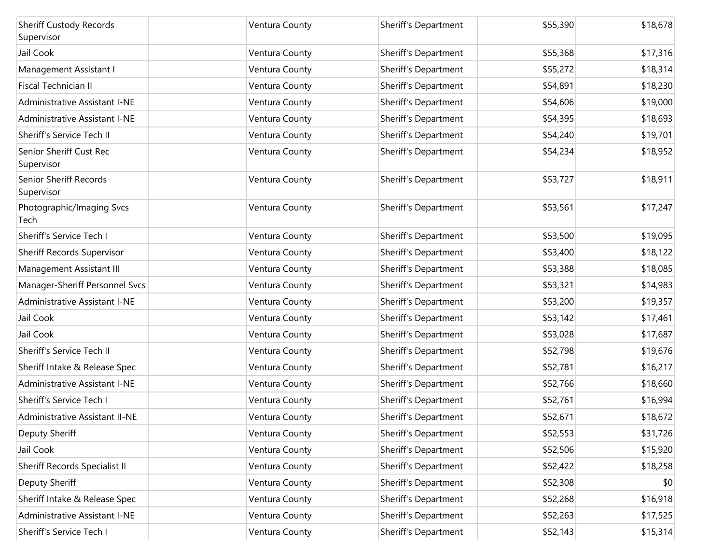| <b>Sheriff Custody Records</b><br>Supervisor | Ventura County | Sheriff's Department | \$55,390 | \$18,678 |
|----------------------------------------------|----------------|----------------------|----------|----------|
| Jail Cook                                    | Ventura County | Sheriff's Department | \$55,368 | \$17,316 |
| Management Assistant I                       | Ventura County | Sheriff's Department | \$55,272 | \$18,314 |
| Fiscal Technician II                         | Ventura County | Sheriff's Department | \$54,891 | \$18,230 |
| Administrative Assistant I-NE                | Ventura County | Sheriff's Department | \$54,606 | \$19,000 |
| Administrative Assistant I-NE                | Ventura County | Sheriff's Department | \$54,395 | \$18,693 |
| Sheriff's Service Tech II                    | Ventura County | Sheriff's Department | \$54,240 | \$19,701 |
| Senior Sheriff Cust Rec<br>Supervisor        | Ventura County | Sheriff's Department | \$54,234 | \$18,952 |
| Senior Sheriff Records<br>Supervisor         | Ventura County | Sheriff's Department | \$53,727 | \$18,911 |
| Photographic/Imaging Svcs<br>Tech            | Ventura County | Sheriff's Department | \$53,561 | \$17,247 |
| Sheriff's Service Tech I                     | Ventura County | Sheriff's Department | \$53,500 | \$19,095 |
| Sheriff Records Supervisor                   | Ventura County | Sheriff's Department | \$53,400 | \$18,122 |
| Management Assistant III                     | Ventura County | Sheriff's Department | \$53,388 | \$18,085 |
| Manager-Sheriff Personnel Svcs               | Ventura County | Sheriff's Department | \$53,321 | \$14,983 |
| <b>Administrative Assistant I-NE</b>         | Ventura County | Sheriff's Department | \$53,200 | \$19,357 |
| Jail Cook                                    | Ventura County | Sheriff's Department | \$53,142 | \$17,461 |
| Jail Cook                                    | Ventura County | Sheriff's Department | \$53,028 | \$17,687 |
| Sheriff's Service Tech II                    | Ventura County | Sheriff's Department | \$52,798 | \$19,676 |
| Sheriff Intake & Release Spec                | Ventura County | Sheriff's Department | \$52,781 | \$16,217 |
| <b>Administrative Assistant I-NE</b>         | Ventura County | Sheriff's Department | \$52,766 | \$18,660 |
| Sheriff's Service Tech I                     | Ventura County | Sheriff's Department | \$52,761 | \$16,994 |
| <b>Administrative Assistant II-NE</b>        | Ventura County | Sheriff's Department | \$52,671 | \$18,672 |
| Deputy Sheriff                               | Ventura County | Sheriff's Department | \$52,553 | \$31,726 |
| Jail Cook                                    | Ventura County | Sheriff's Department | \$52,506 | \$15,920 |
| Sheriff Records Specialist II                | Ventura County | Sheriff's Department | \$52,422 | \$18,258 |
| Deputy Sheriff                               | Ventura County | Sheriff's Department | \$52,308 | \$0      |
| Sheriff Intake & Release Spec                | Ventura County | Sheriff's Department | \$52,268 | \$16,918 |
| Administrative Assistant I-NE                | Ventura County | Sheriff's Department | \$52,263 | \$17,525 |
| Sheriff's Service Tech I                     | Ventura County | Sheriff's Department | \$52,143 | \$15,314 |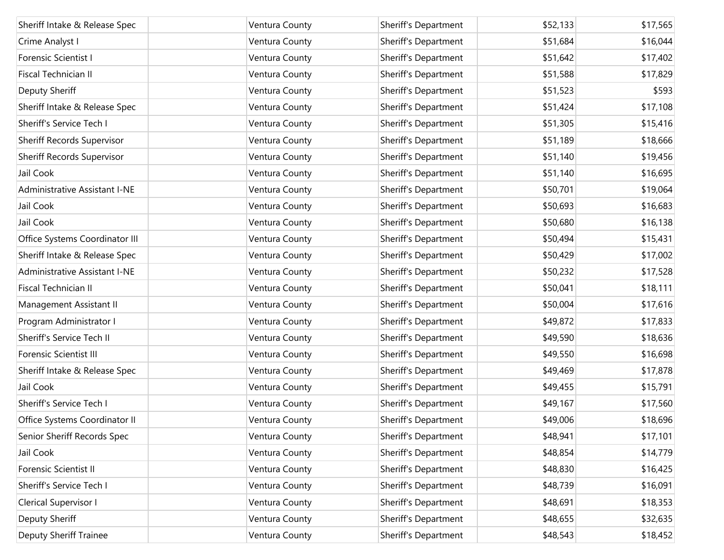| Sheriff Intake & Release Spec     | Ventura County | Sheriff's Department | \$52,133 | \$17,565 |
|-----------------------------------|----------------|----------------------|----------|----------|
| Crime Analyst I                   | Ventura County | Sheriff's Department | \$51,684 | \$16,044 |
| Forensic Scientist I              | Ventura County | Sheriff's Department | \$51,642 | \$17,402 |
| Fiscal Technician II              | Ventura County | Sheriff's Department | \$51,588 | \$17,829 |
| <b>Deputy Sheriff</b>             | Ventura County | Sheriff's Department | \$51,523 | \$593    |
| Sheriff Intake & Release Spec     | Ventura County | Sheriff's Department | \$51,424 | \$17,108 |
| Sheriff's Service Tech I          | Ventura County | Sheriff's Department | \$51,305 | \$15,416 |
| <b>Sheriff Records Supervisor</b> | Ventura County | Sheriff's Department | \$51,189 | \$18,666 |
| <b>Sheriff Records Supervisor</b> | Ventura County | Sheriff's Department | \$51,140 | \$19,456 |
| Jail Cook                         | Ventura County | Sheriff's Department | \$51,140 | \$16,695 |
| Administrative Assistant I-NE     | Ventura County | Sheriff's Department | \$50,701 | \$19,064 |
| Jail Cook                         | Ventura County | Sheriff's Department | \$50,693 | \$16,683 |
| Jail Cook                         | Ventura County | Sheriff's Department | \$50,680 | \$16,138 |
| Office Systems Coordinator III    | Ventura County | Sheriff's Department | \$50,494 | \$15,431 |
| Sheriff Intake & Release Spec     | Ventura County | Sheriff's Department | \$50,429 | \$17,002 |
| Administrative Assistant I-NE     | Ventura County | Sheriff's Department | \$50,232 | \$17,528 |
| Fiscal Technician II              | Ventura County | Sheriff's Department | \$50,041 | \$18,111 |
| Management Assistant II           | Ventura County | Sheriff's Department | \$50,004 | \$17,616 |
| Program Administrator I           | Ventura County | Sheriff's Department | \$49,872 | \$17,833 |
| Sheriff's Service Tech II         | Ventura County | Sheriff's Department | \$49,590 | \$18,636 |
| <b>Forensic Scientist III</b>     | Ventura County | Sheriff's Department | \$49,550 | \$16,698 |
| Sheriff Intake & Release Spec     | Ventura County | Sheriff's Department | \$49,469 | \$17,878 |
| Jail Cook                         | Ventura County | Sheriff's Department | \$49,455 | \$15,791 |
| Sheriff's Service Tech I          | Ventura County | Sheriff's Department | \$49,167 | \$17,560 |
| Office Systems Coordinator II     | Ventura County | Sheriff's Department | \$49,006 | \$18,696 |
| Senior Sheriff Records Spec       | Ventura County | Sheriff's Department | \$48,941 | \$17,101 |
| Jail Cook                         | Ventura County | Sheriff's Department | \$48,854 | \$14,779 |
| Forensic Scientist II             | Ventura County | Sheriff's Department | \$48,830 | \$16,425 |
| Sheriff's Service Tech I          | Ventura County | Sheriff's Department | \$48,739 | \$16,091 |
| Clerical Supervisor I             | Ventura County | Sheriff's Department | \$48,691 | \$18,353 |
| Deputy Sheriff                    | Ventura County | Sheriff's Department | \$48,655 | \$32,635 |
| <b>Deputy Sheriff Trainee</b>     | Ventura County | Sheriff's Department | \$48,543 | \$18,452 |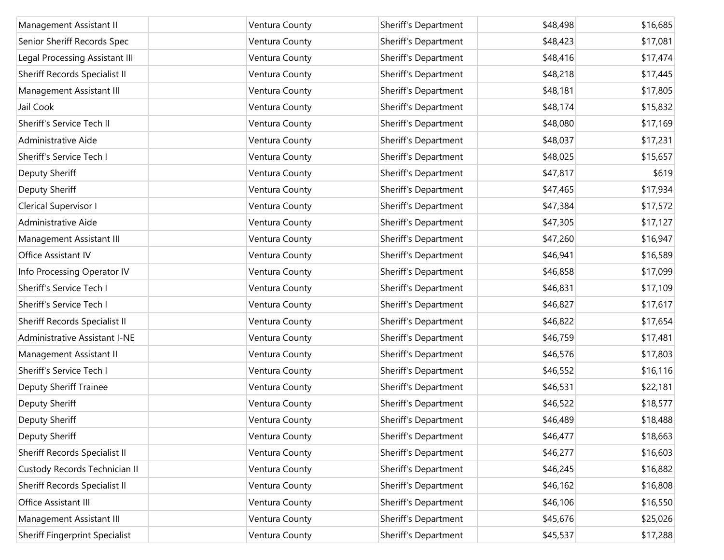| Management Assistant II               | Ventura County | Sheriff's Department | \$48,498 | \$16,685 |
|---------------------------------------|----------------|----------------------|----------|----------|
| Senior Sheriff Records Spec           | Ventura County | Sheriff's Department | \$48,423 | \$17,081 |
| Legal Processing Assistant III        | Ventura County | Sheriff's Department | \$48,416 | \$17,474 |
| Sheriff Records Specialist II         | Ventura County | Sheriff's Department | \$48,218 | \$17,445 |
| Management Assistant III              | Ventura County | Sheriff's Department | \$48,181 | \$17,805 |
| Jail Cook                             | Ventura County | Sheriff's Department | \$48,174 | \$15,832 |
| Sheriff's Service Tech II             | Ventura County | Sheriff's Department | \$48,080 | \$17,169 |
| Administrative Aide                   | Ventura County | Sheriff's Department | \$48,037 | \$17,231 |
| Sheriff's Service Tech I              | Ventura County | Sheriff's Department | \$48,025 | \$15,657 |
| Deputy Sheriff                        | Ventura County | Sheriff's Department | \$47,817 | \$619    |
| Deputy Sheriff                        | Ventura County | Sheriff's Department | \$47,465 | \$17,934 |
| Clerical Supervisor I                 | Ventura County | Sheriff's Department | \$47,384 | \$17,572 |
| Administrative Aide                   | Ventura County | Sheriff's Department | \$47,305 | \$17,127 |
| Management Assistant III              | Ventura County | Sheriff's Department | \$47,260 | \$16,947 |
| Office Assistant IV                   | Ventura County | Sheriff's Department | \$46,941 | \$16,589 |
| Info Processing Operator IV           | Ventura County | Sheriff's Department | \$46,858 | \$17,099 |
| Sheriff's Service Tech I              | Ventura County | Sheriff's Department | \$46,831 | \$17,109 |
| Sheriff's Service Tech I              | Ventura County | Sheriff's Department | \$46,827 | \$17,617 |
| Sheriff Records Specialist II         | Ventura County | Sheriff's Department | \$46,822 | \$17,654 |
| Administrative Assistant I-NE         | Ventura County | Sheriff's Department | \$46,759 | \$17,481 |
| Management Assistant II               | Ventura County | Sheriff's Department | \$46,576 | \$17,803 |
| Sheriff's Service Tech I              | Ventura County | Sheriff's Department | \$46,552 | \$16,116 |
| <b>Deputy Sheriff Trainee</b>         | Ventura County | Sheriff's Department | \$46,531 | \$22,181 |
| Deputy Sheriff                        | Ventura County | Sheriff's Department | \$46,522 | \$18,577 |
| Deputy Sheriff                        | Ventura County | Sheriff's Department | \$46,489 | \$18,488 |
| Deputy Sheriff                        | Ventura County | Sheriff's Department | \$46,477 | \$18,663 |
| Sheriff Records Specialist II         | Ventura County | Sheriff's Department | \$46,277 | \$16,603 |
| Custody Records Technician II         | Ventura County | Sheriff's Department | \$46,245 | \$16,882 |
| Sheriff Records Specialist II         | Ventura County | Sheriff's Department | \$46,162 | \$16,808 |
| Office Assistant III                  | Ventura County | Sheriff's Department | \$46,106 | \$16,550 |
| Management Assistant III              | Ventura County | Sheriff's Department | \$45,676 | \$25,026 |
| <b>Sheriff Fingerprint Specialist</b> | Ventura County | Sheriff's Department | \$45,537 | \$17,288 |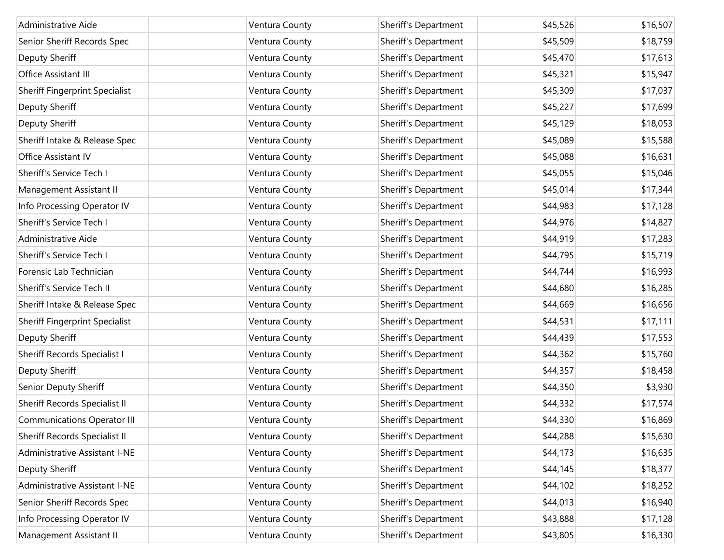| Administrative Aide                 | Ventura County | Sheriff's Department | \$45,526 | \$16,507 |
|-------------------------------------|----------------|----------------------|----------|----------|
| Senior Sheriff Records Spec         | Ventura County | Sheriff's Department | \$45,509 | \$18,759 |
| <b>Deputy Sheriff</b>               | Ventura County | Sheriff's Department | \$45,470 | \$17,613 |
| Office Assistant III                | Ventura County | Sheriff's Department | \$45,321 | \$15,947 |
| Sheriff Fingerprint Specialist      | Ventura County | Sheriff's Department | \$45,309 | \$17,037 |
| <b>Deputy Sheriff</b>               | Ventura County | Sheriff's Department | \$45,227 | \$17,699 |
| Deputy Sheriff                      | Ventura County | Sheriff's Department | \$45,129 | \$18,053 |
| Sheriff Intake & Release Spec       | Ventura County | Sheriff's Department | \$45,089 | \$15,588 |
| Office Assistant IV                 | Ventura County | Sheriff's Department | \$45,088 | \$16,631 |
| Sheriff's Service Tech I            | Ventura County | Sheriff's Department | \$45,055 | \$15,046 |
| Management Assistant II             | Ventura County | Sheriff's Department | \$45,014 | \$17,344 |
| Info Processing Operator IV         | Ventura County | Sheriff's Department | \$44,983 | \$17,128 |
| Sheriff's Service Tech I            | Ventura County | Sheriff's Department | \$44,976 | \$14,827 |
| Administrative Aide                 | Ventura County | Sheriff's Department | \$44,919 | \$17,283 |
| Sheriff's Service Tech I            | Ventura County | Sheriff's Department | \$44,795 | \$15,719 |
| Forensic Lab Technician             | Ventura County | Sheriff's Department | \$44,744 | \$16,993 |
| Sheriff's Service Tech II           | Ventura County | Sheriff's Department | \$44,680 | \$16,285 |
| Sheriff Intake & Release Spec       | Ventura County | Sheriff's Department | \$44,669 | \$16,656 |
| Sheriff Fingerprint Specialist      | Ventura County | Sheriff's Department | \$44,531 | \$17,111 |
| Deputy Sheriff                      | Ventura County | Sheriff's Department | \$44,439 | \$17,553 |
| <b>Sheriff Records Specialist I</b> | Ventura County | Sheriff's Department | \$44,362 | \$15,760 |
| Deputy Sheriff                      | Ventura County | Sheriff's Department | \$44,357 | \$18,458 |
| Senior Deputy Sheriff               | Ventura County | Sheriff's Department | \$44,350 | \$3,930  |
| Sheriff Records Specialist II       | Ventura County | Sheriff's Department | \$44,332 | \$17,574 |
| <b>Communications Operator III</b>  | Ventura County | Sheriff's Department | \$44,330 | \$16,869 |
| Sheriff Records Specialist II       | Ventura County | Sheriff's Department | \$44,288 | \$15,630 |
| Administrative Assistant I-NE       | Ventura County | Sheriff's Department | \$44,173 | \$16,635 |
| Deputy Sheriff                      | Ventura County | Sheriff's Department | \$44,145 | \$18,377 |
| Administrative Assistant I-NE       | Ventura County | Sheriff's Department | \$44,102 | \$18,252 |
| Senior Sheriff Records Spec         | Ventura County | Sheriff's Department | \$44,013 | \$16,940 |
| Info Processing Operator IV         | Ventura County | Sheriff's Department | \$43,888 | \$17,128 |
| Management Assistant II             | Ventura County | Sheriff's Department | \$43,805 | \$16,330 |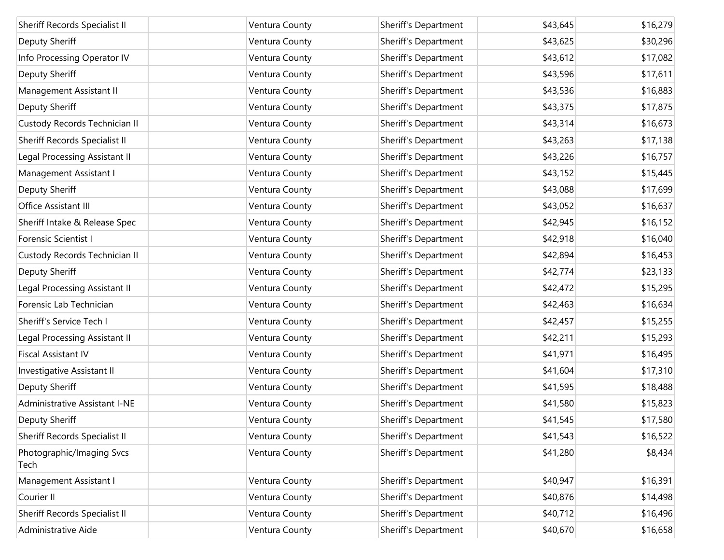| Sheriff Records Specialist II        | Ventura County | Sheriff's Department | \$43,645 | \$16,279 |
|--------------------------------------|----------------|----------------------|----------|----------|
| Deputy Sheriff                       | Ventura County | Sheriff's Department | \$43,625 | \$30,296 |
| Info Processing Operator IV          | Ventura County | Sheriff's Department | \$43,612 | \$17,082 |
| Deputy Sheriff                       | Ventura County | Sheriff's Department | \$43,596 | \$17,611 |
| Management Assistant II              | Ventura County | Sheriff's Department | \$43,536 | \$16,883 |
| Deputy Sheriff                       | Ventura County | Sheriff's Department | \$43,375 | \$17,875 |
| Custody Records Technician II        | Ventura County | Sheriff's Department | \$43,314 | \$16,673 |
| Sheriff Records Specialist II        | Ventura County | Sheriff's Department | \$43,263 | \$17,138 |
| Legal Processing Assistant II        | Ventura County | Sheriff's Department | \$43,226 | \$16,757 |
| Management Assistant I               | Ventura County | Sheriff's Department | \$43,152 | \$15,445 |
| Deputy Sheriff                       | Ventura County | Sheriff's Department | \$43,088 | \$17,699 |
| Office Assistant III                 | Ventura County | Sheriff's Department | \$43,052 | \$16,637 |
| Sheriff Intake & Release Spec        | Ventura County | Sheriff's Department | \$42,945 | \$16,152 |
| Forensic Scientist I                 | Ventura County | Sheriff's Department | \$42,918 | \$16,040 |
| Custody Records Technician II        | Ventura County | Sheriff's Department | \$42,894 | \$16,453 |
| Deputy Sheriff                       | Ventura County | Sheriff's Department | \$42,774 | \$23,133 |
| Legal Processing Assistant II        | Ventura County | Sheriff's Department | \$42,472 | \$15,295 |
| Forensic Lab Technician              | Ventura County | Sheriff's Department | \$42,463 | \$16,634 |
| Sheriff's Service Tech I             | Ventura County | Sheriff's Department | \$42,457 | \$15,255 |
| Legal Processing Assistant II        | Ventura County | Sheriff's Department | \$42,211 | \$15,293 |
| <b>Fiscal Assistant IV</b>           | Ventura County | Sheriff's Department | \$41,971 | \$16,495 |
| Investigative Assistant II           | Ventura County | Sheriff's Department | \$41,604 | \$17,310 |
| Deputy Sheriff                       | Ventura County | Sheriff's Department | \$41,595 | \$18,488 |
| <b>Administrative Assistant I-NE</b> | Ventura County | Sheriff's Department | \$41,580 | \$15,823 |
| Deputy Sheriff                       | Ventura County | Sheriff's Department | \$41,545 | \$17,580 |
| Sheriff Records Specialist II        | Ventura County | Sheriff's Department | \$41,543 | \$16,522 |
| Photographic/Imaging Svcs<br>Tech    | Ventura County | Sheriff's Department | \$41,280 | \$8,434  |
| Management Assistant I               | Ventura County | Sheriff's Department | \$40,947 | \$16,391 |
| Courier II                           | Ventura County | Sheriff's Department | \$40,876 | \$14,498 |
| Sheriff Records Specialist II        | Ventura County | Sheriff's Department | \$40,712 | \$16,496 |
| Administrative Aide                  | Ventura County | Sheriff's Department | \$40,670 | \$16,658 |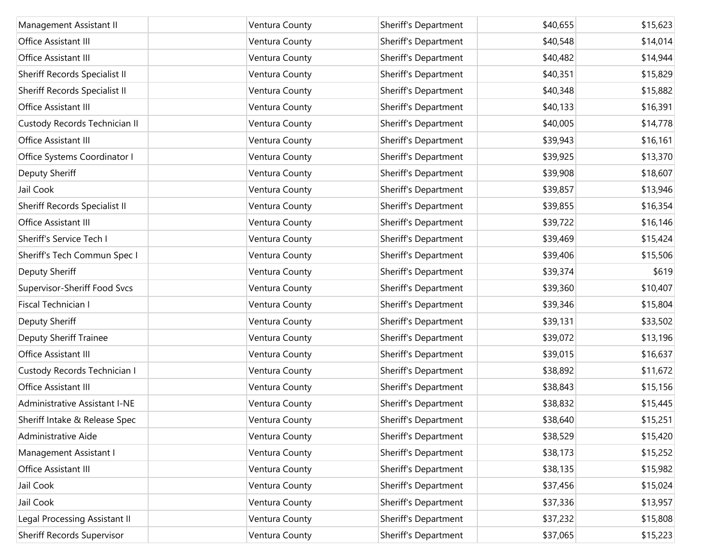| Management Assistant II       | Ventura County | Sheriff's Department | \$40,655 | \$15,623 |
|-------------------------------|----------------|----------------------|----------|----------|
| Office Assistant III          | Ventura County | Sheriff's Department | \$40,548 | \$14,014 |
| Office Assistant III          | Ventura County | Sheriff's Department | \$40,482 | \$14,944 |
| Sheriff Records Specialist II | Ventura County | Sheriff's Department | \$40,351 | \$15,829 |
| Sheriff Records Specialist II | Ventura County | Sheriff's Department | \$40,348 | \$15,882 |
|                               |                |                      |          |          |
| Office Assistant III          | Ventura County | Sheriff's Department | \$40,133 | \$16,391 |
| Custody Records Technician II | Ventura County | Sheriff's Department | \$40,005 | \$14,778 |
| Office Assistant III          | Ventura County | Sheriff's Department | \$39,943 | \$16,161 |
| Office Systems Coordinator I  | Ventura County | Sheriff's Department | \$39,925 | \$13,370 |
| Deputy Sheriff                | Ventura County | Sheriff's Department | \$39,908 | \$18,607 |
| Jail Cook                     | Ventura County | Sheriff's Department | \$39,857 | \$13,946 |
| Sheriff Records Specialist II | Ventura County | Sheriff's Department | \$39,855 | \$16,354 |
| Office Assistant III          | Ventura County | Sheriff's Department | \$39,722 | \$16,146 |
| Sheriff's Service Tech I      | Ventura County | Sheriff's Department | \$39,469 | \$15,424 |
| Sheriff's Tech Commun Spec I  | Ventura County | Sheriff's Department | \$39,406 | \$15,506 |
| Deputy Sheriff                | Ventura County | Sheriff's Department | \$39,374 | \$619    |
| Supervisor-Sheriff Food Svcs  | Ventura County | Sheriff's Department | \$39,360 | \$10,407 |
| Fiscal Technician I           | Ventura County | Sheriff's Department | \$39,346 | \$15,804 |
| Deputy Sheriff                | Ventura County | Sheriff's Department | \$39,131 | \$33,502 |
| <b>Deputy Sheriff Trainee</b> | Ventura County | Sheriff's Department | \$39,072 | \$13,196 |
| Office Assistant III          | Ventura County | Sheriff's Department | \$39,015 | \$16,637 |
| Custody Records Technician I  | Ventura County | Sheriff's Department | \$38,892 | \$11,672 |
| Office Assistant III          | Ventura County | Sheriff's Department | \$38,843 | \$15,156 |
| Administrative Assistant I-NE | Ventura County | Sheriff's Department | \$38,832 | \$15,445 |
| Sheriff Intake & Release Spec | Ventura County | Sheriff's Department | \$38,640 | \$15,251 |
| Administrative Aide           | Ventura County | Sheriff's Department | \$38,529 | \$15,420 |
| Management Assistant I        | Ventura County | Sheriff's Department | \$38,173 | \$15,252 |
| Office Assistant III          | Ventura County | Sheriff's Department | \$38,135 | \$15,982 |
| Jail Cook                     | Ventura County | Sheriff's Department | \$37,456 | \$15,024 |
| Jail Cook                     | Ventura County | Sheriff's Department | \$37,336 | \$13,957 |
| Legal Processing Assistant II | Ventura County | Sheriff's Department | \$37,232 | \$15,808 |
| Sheriff Records Supervisor    | Ventura County | Sheriff's Department | \$37,065 | \$15,223 |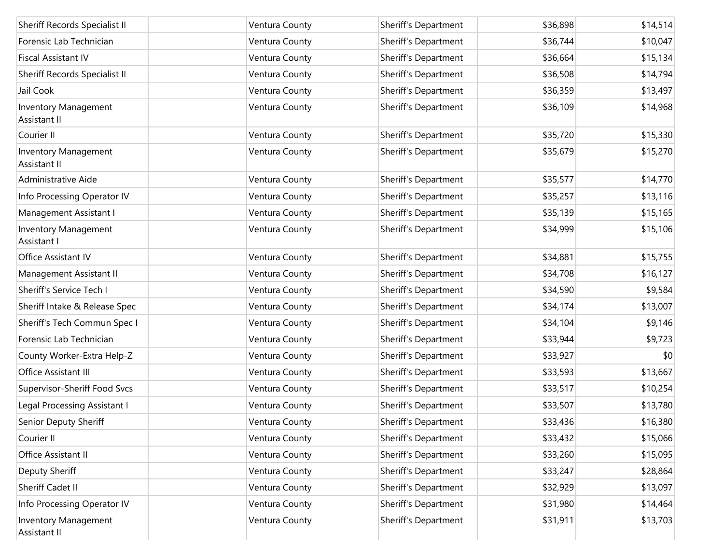| Sheriff Records Specialist II               | Ventura County | Sheriff's Department | \$36,898 | \$14,514 |
|---------------------------------------------|----------------|----------------------|----------|----------|
| Forensic Lab Technician                     | Ventura County | Sheriff's Department | \$36,744 | \$10,047 |
| <b>Fiscal Assistant IV</b>                  | Ventura County | Sheriff's Department | \$36,664 | \$15,134 |
| Sheriff Records Specialist II               | Ventura County | Sheriff's Department | \$36,508 | \$14,794 |
| Jail Cook                                   | Ventura County | Sheriff's Department | \$36,359 | \$13,497 |
| Inventory Management<br>Assistant II        | Ventura County | Sheriff's Department | \$36,109 | \$14,968 |
| Courier II                                  | Ventura County | Sheriff's Department | \$35,720 | \$15,330 |
| Inventory Management<br>Assistant II        | Ventura County | Sheriff's Department | \$35,679 | \$15,270 |
| Administrative Aide                         | Ventura County | Sheriff's Department | \$35,577 | \$14,770 |
| Info Processing Operator IV                 | Ventura County | Sheriff's Department | \$35,257 | \$13,116 |
| Management Assistant I                      | Ventura County | Sheriff's Department | \$35,139 | \$15,165 |
| Inventory Management<br>Assistant I         | Ventura County | Sheriff's Department | \$34,999 | \$15,106 |
| Office Assistant IV                         | Ventura County | Sheriff's Department | \$34,881 | \$15,755 |
| Management Assistant II                     | Ventura County | Sheriff's Department | \$34,708 | \$16,127 |
| Sheriff's Service Tech I                    | Ventura County | Sheriff's Department | \$34,590 | \$9,584  |
| Sheriff Intake & Release Spec               | Ventura County | Sheriff's Department | \$34,174 | \$13,007 |
| Sheriff's Tech Commun Spec I                | Ventura County | Sheriff's Department | \$34,104 | \$9,146  |
| Forensic Lab Technician                     | Ventura County | Sheriff's Department | \$33,944 | \$9,723  |
| County Worker-Extra Help-Z                  | Ventura County | Sheriff's Department | \$33,927 | \$0      |
| Office Assistant III                        | Ventura County | Sheriff's Department | \$33,593 | \$13,667 |
| Supervisor-Sheriff Food Svcs                | Ventura County | Sheriff's Department | \$33,517 | \$10,254 |
| Legal Processing Assistant I                | Ventura County | Sheriff's Department | \$33,507 | \$13,780 |
| Senior Deputy Sheriff                       | Ventura County | Sheriff's Department | \$33,436 | \$16,380 |
| Courier II                                  | Ventura County | Sheriff's Department | \$33,432 | \$15,066 |
| Office Assistant II                         | Ventura County | Sheriff's Department | \$33,260 | \$15,095 |
| Deputy Sheriff                              | Ventura County | Sheriff's Department | \$33,247 | \$28,864 |
| Sheriff Cadet II                            | Ventura County | Sheriff's Department | \$32,929 | \$13,097 |
| Info Processing Operator IV                 | Ventura County | Sheriff's Department | \$31,980 | \$14,464 |
| <b>Inventory Management</b><br>Assistant II | Ventura County | Sheriff's Department | \$31,911 | \$13,703 |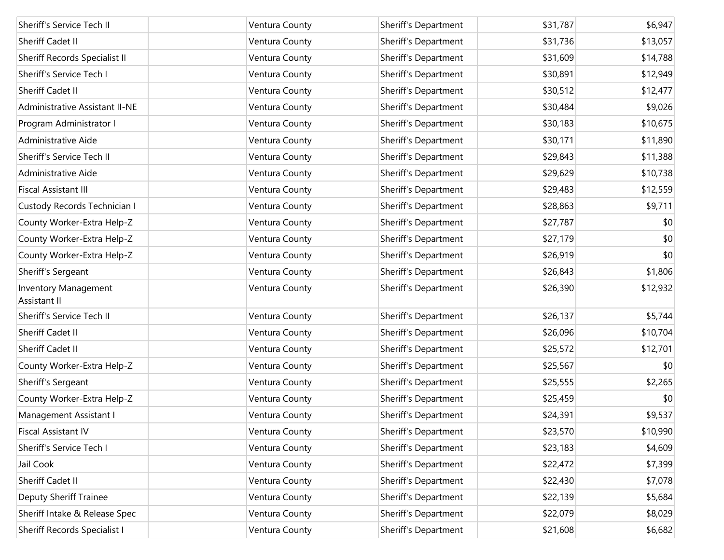| Sheriff's Service Tech II                   | Ventura County | Sheriff's Department | \$31,787 | \$6,947  |
|---------------------------------------------|----------------|----------------------|----------|----------|
| Sheriff Cadet II                            | Ventura County | Sheriff's Department | \$31,736 | \$13,057 |
| Sheriff Records Specialist II               | Ventura County | Sheriff's Department | \$31,609 | \$14,788 |
| Sheriff's Service Tech I                    | Ventura County | Sheriff's Department | \$30,891 | \$12,949 |
| Sheriff Cadet II                            | Ventura County | Sheriff's Department | \$30,512 | \$12,477 |
| Administrative Assistant II-NE              | Ventura County | Sheriff's Department | \$30,484 | \$9,026  |
| Program Administrator I                     | Ventura County | Sheriff's Department | \$30,183 | \$10,675 |
| Administrative Aide                         | Ventura County | Sheriff's Department | \$30,171 | \$11,890 |
| Sheriff's Service Tech II                   | Ventura County | Sheriff's Department | \$29,843 | \$11,388 |
| Administrative Aide                         | Ventura County | Sheriff's Department | \$29,629 | \$10,738 |
| <b>Fiscal Assistant III</b>                 | Ventura County | Sheriff's Department | \$29,483 | \$12,559 |
| Custody Records Technician I                | Ventura County | Sheriff's Department | \$28,863 | \$9,711  |
| County Worker-Extra Help-Z                  | Ventura County | Sheriff's Department | \$27,787 | \$0      |
| County Worker-Extra Help-Z                  | Ventura County | Sheriff's Department | \$27,179 | \$0      |
| County Worker-Extra Help-Z                  | Ventura County | Sheriff's Department | \$26,919 | \$0      |
| Sheriff's Sergeant                          | Ventura County | Sheriff's Department | \$26,843 | \$1,806  |
| <b>Inventory Management</b><br>Assistant II | Ventura County | Sheriff's Department | \$26,390 | \$12,932 |
| Sheriff's Service Tech II                   | Ventura County | Sheriff's Department | \$26,137 | \$5,744  |
| Sheriff Cadet II                            | Ventura County | Sheriff's Department | \$26,096 | \$10,704 |
| Sheriff Cadet II                            | Ventura County | Sheriff's Department | \$25,572 | \$12,701 |
| County Worker-Extra Help-Z                  | Ventura County | Sheriff's Department | \$25,567 | \$0      |
| Sheriff's Sergeant                          | Ventura County | Sheriff's Department | \$25,555 | \$2,265  |
| County Worker-Extra Help-Z                  | Ventura County | Sheriff's Department | \$25,459 | \$0      |
| Management Assistant I                      | Ventura County | Sheriff's Department | \$24,391 | \$9,537  |
| <b>Fiscal Assistant IV</b>                  | Ventura County | Sheriff's Department | \$23,570 | \$10,990 |
| Sheriff's Service Tech I                    | Ventura County | Sheriff's Department | \$23,183 | \$4,609  |
| Jail Cook                                   | Ventura County | Sheriff's Department | \$22,472 | \$7,399  |
| Sheriff Cadet II                            | Ventura County | Sheriff's Department | \$22,430 | \$7,078  |
| Deputy Sheriff Trainee                      | Ventura County | Sheriff's Department | \$22,139 | \$5,684  |
| Sheriff Intake & Release Spec               | Ventura County | Sheriff's Department | \$22,079 | \$8,029  |
| Sheriff Records Specialist I                | Ventura County | Sheriff's Department | \$21,608 | \$6,682  |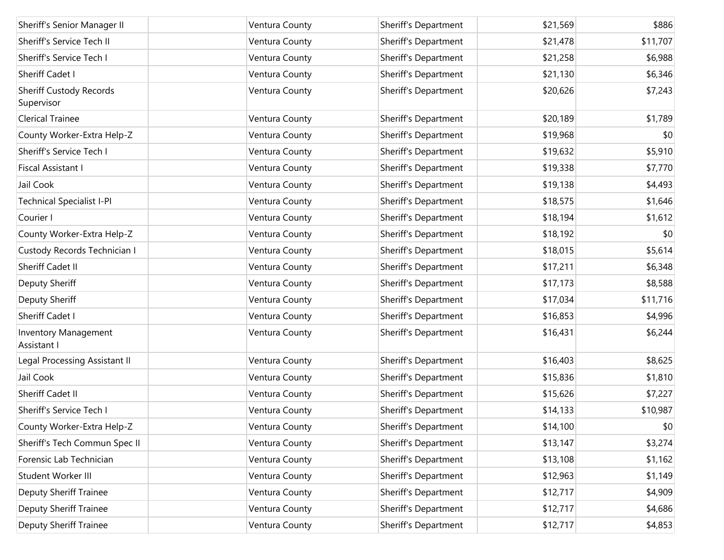| Sheriff's Senior Manager II           | Ventura County | Sheriff's Department | \$21,569 | \$886    |
|---------------------------------------|----------------|----------------------|----------|----------|
| Sheriff's Service Tech II             | Ventura County | Sheriff's Department | \$21,478 | \$11,707 |
| Sheriff's Service Tech I              | Ventura County | Sheriff's Department | \$21,258 | \$6,988  |
| Sheriff Cadet I                       | Ventura County | Sheriff's Department | \$21,130 | \$6,346  |
| Sheriff Custody Records<br>Supervisor | Ventura County | Sheriff's Department | \$20,626 | \$7,243  |
| <b>Clerical Trainee</b>               | Ventura County | Sheriff's Department | \$20,189 | \$1,789  |
| County Worker-Extra Help-Z            | Ventura County | Sheriff's Department | \$19,968 | \$0      |
| Sheriff's Service Tech I              | Ventura County | Sheriff's Department | \$19,632 | \$5,910  |
| Fiscal Assistant I                    | Ventura County | Sheriff's Department | \$19,338 | \$7,770  |
| Jail Cook                             | Ventura County | Sheriff's Department | \$19,138 | \$4,493  |
| <b>Technical Specialist I-PI</b>      | Ventura County | Sheriff's Department | \$18,575 | \$1,646  |
| Courier I                             | Ventura County | Sheriff's Department | \$18,194 | \$1,612  |
| County Worker-Extra Help-Z            | Ventura County | Sheriff's Department | \$18,192 | \$0      |
| Custody Records Technician I          | Ventura County | Sheriff's Department | \$18,015 | \$5,614  |
| Sheriff Cadet II                      | Ventura County | Sheriff's Department | \$17,211 | \$6,348  |
| Deputy Sheriff                        | Ventura County | Sheriff's Department | \$17,173 | \$8,588  |
| Deputy Sheriff                        | Ventura County | Sheriff's Department | \$17,034 | \$11,716 |
| Sheriff Cadet I                       | Ventura County | Sheriff's Department | \$16,853 | \$4,996  |
| Inventory Management<br>Assistant I   | Ventura County | Sheriff's Department | \$16,431 | \$6,244  |
| Legal Processing Assistant II         | Ventura County | Sheriff's Department | \$16,403 | \$8,625  |
| Jail Cook                             | Ventura County | Sheriff's Department | \$15,836 | \$1,810  |
| Sheriff Cadet II                      | Ventura County | Sheriff's Department | \$15,626 | \$7,227  |
| Sheriff's Service Tech I              | Ventura County | Sheriff's Department | \$14,133 | \$10,987 |
| County Worker-Extra Help-Z            | Ventura County | Sheriff's Department | \$14,100 | \$0      |
| Sheriff's Tech Commun Spec II         | Ventura County | Sheriff's Department | \$13,147 | \$3,274  |
| Forensic Lab Technician               | Ventura County | Sheriff's Department | \$13,108 | \$1,162  |
| Student Worker III                    | Ventura County | Sheriff's Department | \$12,963 | \$1,149  |
| Deputy Sheriff Trainee                | Ventura County | Sheriff's Department | \$12,717 | \$4,909  |
| Deputy Sheriff Trainee                | Ventura County | Sheriff's Department | \$12,717 | \$4,686  |
| <b>Deputy Sheriff Trainee</b>         | Ventura County | Sheriff's Department | \$12,717 | \$4,853  |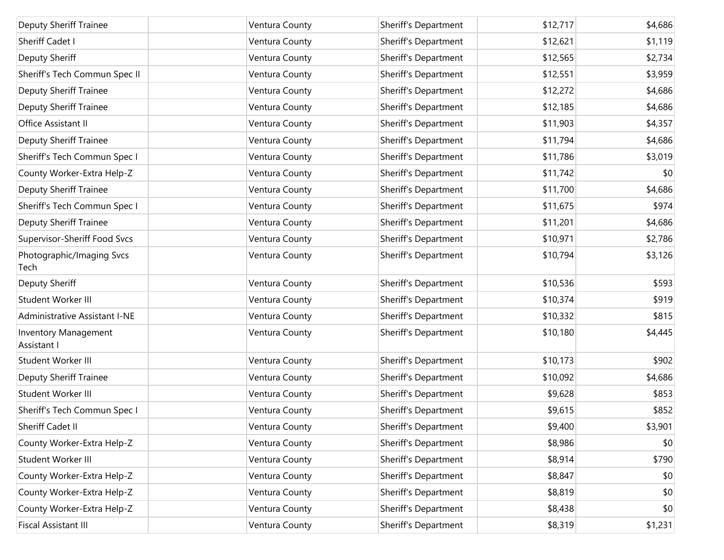| <b>Deputy Sheriff Trainee</b>       | Ventura County | Sheriff's Department | \$12,717 | \$4,686 |
|-------------------------------------|----------------|----------------------|----------|---------|
| Sheriff Cadet I                     | Ventura County | Sheriff's Department | \$12,621 | \$1,119 |
| Deputy Sheriff                      | Ventura County | Sheriff's Department | \$12,565 | \$2,734 |
| Sheriff's Tech Commun Spec II       | Ventura County | Sheriff's Department | \$12,551 | \$3,959 |
| <b>Deputy Sheriff Trainee</b>       | Ventura County | Sheriff's Department | \$12,272 | \$4,686 |
| <b>Deputy Sheriff Trainee</b>       | Ventura County | Sheriff's Department | \$12,185 | \$4,686 |
| Office Assistant II                 | Ventura County | Sheriff's Department | \$11,903 | \$4,357 |
| <b>Deputy Sheriff Trainee</b>       | Ventura County | Sheriff's Department | \$11,794 | \$4,686 |
| Sheriff's Tech Commun Spec I        | Ventura County | Sheriff's Department | \$11,786 | \$3,019 |
| County Worker-Extra Help-Z          | Ventura County | Sheriff's Department | \$11,742 | \$0     |
| <b>Deputy Sheriff Trainee</b>       | Ventura County | Sheriff's Department | \$11,700 | \$4,686 |
| Sheriff's Tech Commun Spec I        | Ventura County | Sheriff's Department | \$11,675 | \$974   |
| <b>Deputy Sheriff Trainee</b>       | Ventura County | Sheriff's Department | \$11,201 | \$4,686 |
| Supervisor-Sheriff Food Svcs        | Ventura County | Sheriff's Department | \$10,971 | \$2,786 |
| Photographic/Imaging Svcs<br>Tech   | Ventura County | Sheriff's Department | \$10,794 | \$3,126 |
| Deputy Sheriff                      | Ventura County | Sheriff's Department | \$10,536 | \$593   |
| Student Worker III                  | Ventura County | Sheriff's Department | \$10,374 | \$919   |
| Administrative Assistant I-NE       | Ventura County | Sheriff's Department | \$10,332 | \$815   |
| Inventory Management<br>Assistant I | Ventura County | Sheriff's Department | \$10,180 | \$4,445 |
| Student Worker III                  | Ventura County | Sheriff's Department | \$10,173 | \$902   |
| <b>Deputy Sheriff Trainee</b>       | Ventura County | Sheriff's Department | \$10,092 | \$4,686 |
| Student Worker III                  | Ventura County | Sheriff's Department | \$9,628  | \$853   |
| Sheriff's Tech Commun Spec I        | Ventura County | Sheriff's Department | \$9,615  | \$852   |
| Sheriff Cadet II                    | Ventura County | Sheriff's Department | \$9,400  | \$3,901 |
| County Worker-Extra Help-Z          | Ventura County | Sheriff's Department | \$8,986  | \$0     |
| Student Worker III                  | Ventura County | Sheriff's Department | \$8,914  | \$790   |
| County Worker-Extra Help-Z          | Ventura County | Sheriff's Department | \$8,847  | \$0     |
| County Worker-Extra Help-Z          | Ventura County | Sheriff's Department | \$8,819  | \$0     |
| County Worker-Extra Help-Z          | Ventura County | Sheriff's Department | \$8,438  | \$0     |
| Fiscal Assistant III                | Ventura County | Sheriff's Department | \$8,319  | \$1,231 |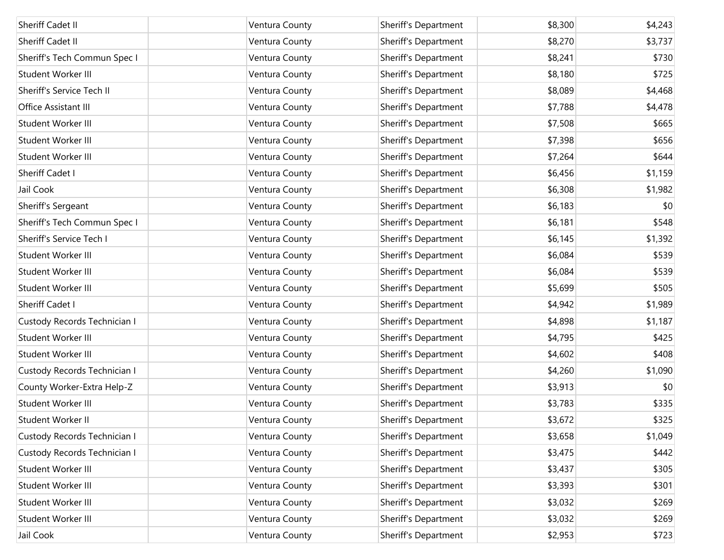| Sheriff Cadet II             | Ventura County | Sheriff's Department | \$8,300 | \$4,243 |
|------------------------------|----------------|----------------------|---------|---------|
| <b>Sheriff Cadet II</b>      | Ventura County | Sheriff's Department | \$8,270 | \$3,737 |
| Sheriff's Tech Commun Spec I | Ventura County | Sheriff's Department | \$8,241 | \$730   |
| Student Worker III           | Ventura County | Sheriff's Department | \$8,180 | \$725   |
| Sheriff's Service Tech II    | Ventura County | Sheriff's Department | \$8,089 | \$4,468 |
| Office Assistant III         | Ventura County | Sheriff's Department | \$7,788 | \$4,478 |
| Student Worker III           | Ventura County | Sheriff's Department | \$7,508 | \$665   |
| Student Worker III           | Ventura County | Sheriff's Department | \$7,398 | \$656   |
| Student Worker III           | Ventura County | Sheriff's Department | \$7,264 | \$644   |
| Sheriff Cadet I              | Ventura County | Sheriff's Department | \$6,456 | \$1,159 |
| Jail Cook                    | Ventura County | Sheriff's Department | \$6,308 | \$1,982 |
| Sheriff's Sergeant           | Ventura County | Sheriff's Department | \$6,183 | \$0     |
| Sheriff's Tech Commun Spec I | Ventura County | Sheriff's Department | \$6,181 | \$548   |
| Sheriff's Service Tech I     | Ventura County | Sheriff's Department | \$6,145 | \$1,392 |
| Student Worker III           | Ventura County | Sheriff's Department | \$6,084 | \$539   |
| Student Worker III           | Ventura County | Sheriff's Department | \$6,084 | \$539   |
| Student Worker III           | Ventura County | Sheriff's Department | \$5,699 | \$505   |
| Sheriff Cadet I              | Ventura County | Sheriff's Department | \$4,942 | \$1,989 |
| Custody Records Technician I | Ventura County | Sheriff's Department | \$4,898 | \$1,187 |
| Student Worker III           | Ventura County | Sheriff's Department | \$4,795 | \$425   |
| Student Worker III           | Ventura County | Sheriff's Department | \$4,602 | \$408   |
| Custody Records Technician I | Ventura County | Sheriff's Department | \$4,260 | \$1,090 |
| County Worker-Extra Help-Z   | Ventura County | Sheriff's Department | \$3,913 | \$0     |
| Student Worker III           | Ventura County | Sheriff's Department | \$3,783 | \$335   |
| Student Worker II            | Ventura County | Sheriff's Department | \$3,672 | \$325   |
| Custody Records Technician I | Ventura County | Sheriff's Department | \$3,658 | \$1,049 |
| Custody Records Technician I | Ventura County | Sheriff's Department | \$3,475 | \$442   |
| Student Worker III           | Ventura County | Sheriff's Department | \$3,437 | \$305   |
| Student Worker III           | Ventura County | Sheriff's Department | \$3,393 | \$301   |
| Student Worker III           | Ventura County | Sheriff's Department | \$3,032 | \$269   |
| Student Worker III           | Ventura County | Sheriff's Department | \$3,032 | \$269   |
| Jail Cook                    | Ventura County | Sheriff's Department | \$2,953 | \$723   |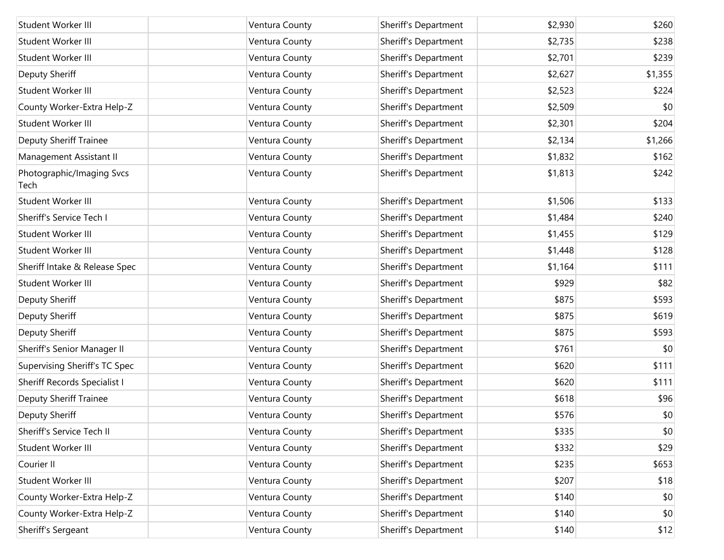| Student Worker III                  | Ventura County | Sheriff's Department | \$2,930 | \$260   |
|-------------------------------------|----------------|----------------------|---------|---------|
| Student Worker III                  | Ventura County | Sheriff's Department | \$2,735 | \$238   |
| Student Worker III                  | Ventura County | Sheriff's Department | \$2,701 | \$239   |
| Deputy Sheriff                      | Ventura County | Sheriff's Department | \$2,627 | \$1,355 |
| Student Worker III                  | Ventura County | Sheriff's Department | \$2,523 | \$224   |
| County Worker-Extra Help-Z          | Ventura County | Sheriff's Department | \$2,509 | \$0     |
| Student Worker III                  | Ventura County | Sheriff's Department | \$2,301 | \$204   |
| Deputy Sheriff Trainee              | Ventura County | Sheriff's Department | \$2,134 | \$1,266 |
| Management Assistant II             | Ventura County | Sheriff's Department | \$1,832 | \$162   |
| Photographic/Imaging Svcs<br>Tech   | Ventura County | Sheriff's Department | \$1,813 | \$242   |
| Student Worker III                  | Ventura County | Sheriff's Department | \$1,506 | \$133   |
| Sheriff's Service Tech I            | Ventura County | Sheriff's Department | \$1,484 | \$240   |
| Student Worker III                  | Ventura County | Sheriff's Department | \$1,455 | \$129   |
| Student Worker III                  | Ventura County | Sheriff's Department | \$1,448 | \$128   |
| Sheriff Intake & Release Spec       | Ventura County | Sheriff's Department | \$1,164 | \$111   |
| Student Worker III                  | Ventura County | Sheriff's Department | \$929   | \$82    |
| Deputy Sheriff                      | Ventura County | Sheriff's Department | \$875   | \$593   |
| Deputy Sheriff                      | Ventura County | Sheriff's Department | \$875   | \$619   |
| Deputy Sheriff                      | Ventura County | Sheriff's Department | \$875   | \$593   |
| Sheriff's Senior Manager II         | Ventura County | Sheriff's Department | \$761   | \$0     |
| Supervising Sheriff's TC Spec       | Ventura County | Sheriff's Department | \$620   | \$111   |
| <b>Sheriff Records Specialist I</b> | Ventura County | Sheriff's Department | \$620   | \$111   |
| <b>Deputy Sheriff Trainee</b>       | Ventura County | Sheriff's Department | \$618   | \$96    |
| Deputy Sheriff                      | Ventura County | Sheriff's Department | \$576   | \$0     |
| Sheriff's Service Tech II           | Ventura County | Sheriff's Department | \$335   | \$0     |
| Student Worker III                  | Ventura County | Sheriff's Department | \$332   | \$29    |
| Courier II                          | Ventura County | Sheriff's Department | \$235   | \$653   |
| Student Worker III                  | Ventura County | Sheriff's Department | \$207   | \$18    |
| County Worker-Extra Help-Z          | Ventura County | Sheriff's Department | \$140   | \$0     |
| County Worker-Extra Help-Z          | Ventura County | Sheriff's Department | \$140   | \$0     |
| Sheriff's Sergeant                  | Ventura County | Sheriff's Department | \$140   | \$12    |